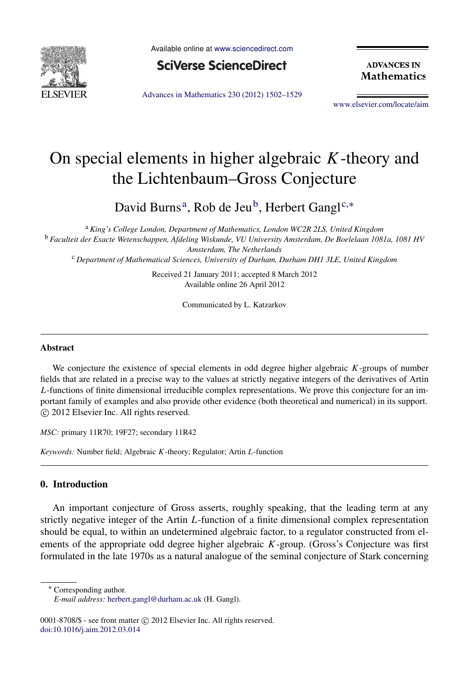

Available online at [www.sciencedirect.com](http://www.elsevier.com/locate/aim)



**ADVANCES IN Mathematics** 

[Advances in Mathematics 230 \(2012\) 1502–1529](http://dx.doi.org/10.1016/j.aim.2012.03.014)

[www.elsevier.com/locate/aim](http://www.elsevier.com/locate/aim)

# On special elements in higher algebraic *K*-theory and the Lichtenbaum–Gross Conjecture

D[a](#page-0-0)vid Burns<sup>a</sup>, Ro[b](#page-0-1) de Jeu<sup>b</sup>, Herbert Gangl<sup>[c,](#page-0-2)\*</sup>

<span id="page-0-1"></span><sup>a</sup> *King's College London, Department of Mathematics, London WC2R 2LS, United Kingdom* <sup>b</sup> *Faculteit der Exacte Wetenschappen, Afdeling Wiskunde, VU University Amsterdam, De Boelelaan 1081a, 1081 HV Amsterdam, The Netherlands*

<span id="page-0-2"></span><span id="page-0-0"></span><sup>c</sup> *Department of Mathematical Sciences, University of Durham, Durham DH1 3LE, United Kingdom*

Received 21 January 2011; accepted 8 March 2012 Available online 26 April 2012

Communicated by L. Katzarkov

#### Abstract

We conjecture the existence of special elements in odd degree higher algebraic *K*-groups of number fields that are related in a precise way to the values at strictly negative integers of the derivatives of Artin *L*-functions of finite dimensional irreducible complex representations. We prove this conjecture for an important family of examples and also provide other evidence (both theoretical and numerical) in its support. ⃝c 2012 Elsevier Inc. All rights reserved.

*MSC:* primary 11R70; 19F27; secondary 11R42

*Keywords:* Number field; Algebraic *K*-theory; Regulator; Artin *L*-function

## 0. Introduction

An important conjecture of Gross asserts, roughly speaking, that the leading term at any strictly negative integer of the Artin *L*-function of a finite dimensional complex representation should be equal, to within an undetermined algebraic factor, to a regulator constructed from elements of the appropriate odd degree higher algebraic *K*-group. (Gross's Conjecture was first formulated in the late 1970s as a natural analogue of the seminal conjecture of Stark concerning

<span id="page-0-3"></span><sup>∗</sup> Corresponding author.

*E-mail address:* [herbert.gangl@durham.ac.uk](mailto:herbert.gangl@durham.ac.uk) (H. Gangl).

<sup>0001-8708/\$ -</sup> see front matter © 2012 Elsevier Inc. All rights reserved. [doi:10.1016/j.aim.2012.03.014](http://dx.doi.org/10.1016/j.aim.2012.03.014)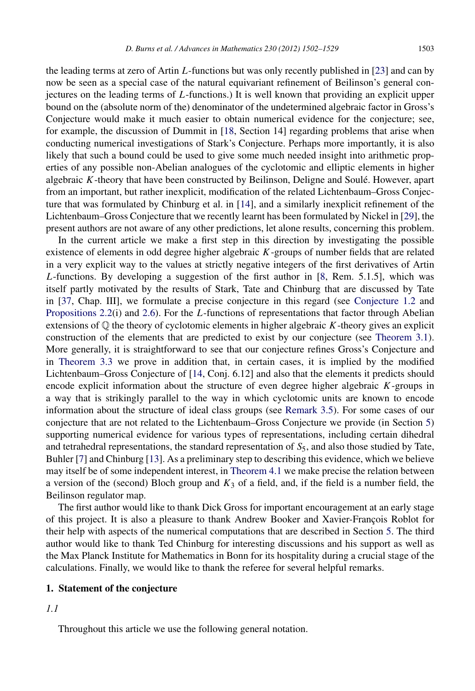the leading terms at zero of Artin *L*-functions but was only recently published in [\[23\]](#page-27-0) and can by now be seen as a special case of the natural equivariant refinement of Beilinson's general conjectures on the leading terms of *L*-functions.) It is well known that providing an explicit upper bound on the (absolute norm of the) denominator of the undetermined algebraic factor in Gross's Conjecture would make it much easier to obtain numerical evidence for the conjecture; see, for example, the discussion of Dummit in [\[18,](#page-27-1) Section 14] regarding problems that arise when conducting numerical investigations of Stark's Conjecture. Perhaps more importantly, it is also likely that such a bound could be used to give some much needed insight into arithmetic properties of any possible non-Abelian analogues of the cyclotomic and elliptic elements in higher algebraic *K*-theory that have been constructed by Beilinson, Deligne and Soule. However, apart ´ from an important, but rather inexplicit, modification of the related Lichtenbaum–Gross Conjecture that was formulated by Chinburg et al. in [\[14\]](#page-27-2), and a similarly inexplicit refinement of the Lichtenbaum–Gross Conjecture that we recently learnt has been formulated by Nickel in [\[29\]](#page-27-3), the present authors are not aware of any other predictions, let alone results, concerning this problem.

In the current article we make a first step in this direction by investigating the possible existence of elements in odd degree higher algebraic *K*-groups of number fields that are related in a very explicit way to the values at strictly negative integers of the first derivatives of Artin *L*-functions. By developing a suggestion of the first author in [\[8,](#page-27-4) Rem. 5.1.5], which was itself partly motivated by the results of Stark, Tate and Chinburg that are discussed by Tate in [\[37,](#page-27-5) Chap. III], we formulate a precise conjecture in this regard (see [Conjecture 1.2](#page-2-0) and [Propositions 2.2\(](#page-5-0)i) and [2.6\)](#page-6-0). For the *L*-functions of representations that factor through Abelian extensions of Q the theory of cyclotomic elements in higher algebraic *K*-theory gives an explicit construction of the elements that are predicted to exist by our conjecture (see [Theorem 3.1\)](#page-8-0). More generally, it is straightforward to see that our conjecture refines Gross's Conjecture and in [Theorem 3.3](#page-10-0) we prove in addition that, in certain cases, it is implied by the modified Lichtenbaum–Gross Conjecture of [\[14,](#page-27-2) Conj. 6.12] and also that the elements it predicts should encode explicit information about the structure of even degree higher algebraic *K*-groups in a way that is strikingly parallel to the way in which cyclotomic units are known to encode information about the structure of ideal class groups (see [Remark 3.5\)](#page-11-0). For some cases of our conjecture that are not related to the Lichtenbaum–Gross Conjecture we provide (in Section [5\)](#page-22-0) supporting numerical evidence for various types of representations, including certain dihedral and tetrahedral representations, the standard representation of *S*5, and also those studied by Tate, Buhler [\[7\]](#page-27-6) and Chinburg [\[13\]](#page-27-7). As a preliminary step to describing this evidence, which we believe may itself be of some independent interest, in [Theorem 4.1](#page-19-0) we make precise the relation between a version of the (second) Bloch group and  $K_3$  of a field, and, if the field is a number field, the Beilinson regulator map.

The first author would like to thank Dick Gross for important encouragement at an early stage of this project. It is also a pleasure to thank Andrew Booker and Xavier-François Roblot for their help with aspects of the numerical computations that are described in Section [5.](#page-22-0) The third author would like to thank Ted Chinburg for interesting discussions and his support as well as the Max Planck Institute for Mathematics in Bonn for its hospitality during a crucial stage of the calculations. Finally, we would like to thank the referee for several helpful remarks.

#### 1. Statement of the conjecture

*1.1*

Throughout this article we use the following general notation.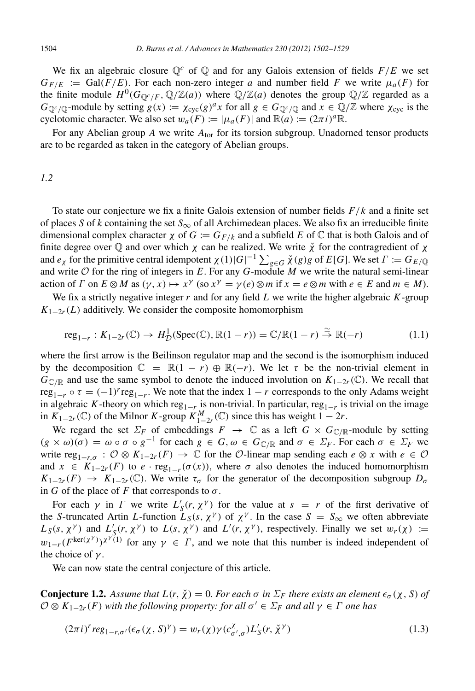We fix an algebraic closure  $\mathbb{Q}^c$  of  $\mathbb{Q}$  and for any Galois extension of fields  $F/E$  we set  $G_{F/E}$  := Gal( $F/E$ ). For each non-zero integer *a* and number field *F* we write  $\mu_a(F)$  for the finite module  $H^0(G_{\mathbb{Q}^c/F}, \mathbb{Q}/\mathbb{Z}(a))$  where  $\mathbb{Q}/\mathbb{Z}(a)$  denotes the group  $\mathbb{Q}/\mathbb{Z}$  regarded as a  $G_{\mathbb{Q}^c/\mathbb{Q}}$ -module by setting  $g(x) := \chi_{\text{cyc}}(g)^a x$  for all  $g \in G_{\mathbb{Q}^c/\mathbb{Q}}$  and  $x \in \mathbb{Q}/\mathbb{Z}$  where  $\chi_{\text{cyc}}$  is the cyclotomic character. We also set  $w_a(F) := |\mu_a(F)|$  and  $\mathbb{R}(a) := (2\pi i)^a \mathbb{R}$ .

For any Abelian group A we write  $A_{\text{tor}}$  for its torsion subgroup. Unadorned tensor products are to be regarded as taken in the category of Abelian groups.

## <span id="page-2-2"></span>*1.2*

To state our conjecture we fix a finite Galois extension of number fields *F*/*k* and a finite set of places *S* of *k* containing the set  $S_{\infty}$  of all Archimedean places. We also fix an irreducible finite dimensional complex character  $\chi$  of  $G := G_{F/k}$  and a subfield E of  $\mathbb C$  that is both Galois and of finite degree over  $\mathbb Q$  and over which  $\chi$  can be realized. We write  $\check{\chi}$  for the contragredient of  $\chi$ and  $e_\chi$  for the primitive central idempotent  $\chi(1)|G|^{-1}\sum_{g\in G}\breve{\chi}(g)g$  of  $E[G]$ . We set  $\Gamma:=G_{E/\mathbb{Q}}$ and write O for the ring of integers in *E*. For any *G*-module *M* we write the natural semi-linear action of *Γ* on  $E \otimes M$  as  $(\gamma, x) \mapsto x^{\gamma}$  (so  $x^{\gamma} = \gamma(e) \otimes m$  if  $x = e \otimes m$  with  $e \in E$  and  $m \in M$ ).

We fix a strictly negative integer *r* and for any field *L* we write the higher algebraic *K*-group  $K_{1-2r}(L)$  additively. We consider the composite homomorphism

<span id="page-2-3"></span>
$$
reg_{1-r}: K_{1-2r}(\mathbb{C}) \to H^1_{\mathcal{D}}(\operatorname{Spec}(\mathbb{C}), \mathbb{R}(1-r)) = \mathbb{C}/\mathbb{R}(1-r) \stackrel{\simeq}{\to} \mathbb{R}(-r)
$$
 (1.1)

where the first arrow is the Beilinson regulator map and the second is the isomorphism induced by the decomposition  $\mathbb{C} = \mathbb{R}(1 - r) \oplus \mathbb{R}(-r)$ . We let  $\tau$  be the non-trivial element in  $G_{\mathbb{C}/\mathbb{R}}$  and use the same symbol to denote the induced involution on  $K_{1-2r}(\mathbb{C})$ . We recall that  $\text{reg}_{1-r} \circ \tau = (-1)^r \text{reg}_{1-r}$ . We note that the index  $1 - r$  corresponds to the only Adams weight in algebraic *K*-theory on which reg<sub>1−*r*</sub> is non-trivial. In particular, reg<sub>1−*r*</sub> is trivial on the image in  $K_{1-2r}$  (ℂ) of the Milnor *K*-group  $K_{1-2r}^M$  (ℂ) since this has weight  $1-2r$ .

We regard the set  $\Sigma_F$  of embeddings  $F \to \mathbb{C}$  as a left  $G \times G_{\mathbb{C}/\mathbb{R}}$ -module by setting  $(g \times \omega)(\sigma) = \omega \circ \sigma \circ g^{-1}$  for each  $g \in G, \omega \in G_{\mathbb{C}/\mathbb{R}}$  and  $\sigma \in \Sigma_F$ . For each  $\sigma \in \Sigma_F$  we write reg<sub>1−*r*</sub> $\sigma$ :  $\mathcal{O} \otimes K_{1-2r}(F) \to \mathbb{C}$  for the  $\mathcal{O}$ -linear map sending each *e*  $\otimes$  *x* with *e*  $\in \mathcal{O}$ and  $x \in K_{1-2r}(F)$  to  $e \cdot \text{reg}_{1-r}(\sigma(x))$ , where  $\sigma$  also denotes the induced homomorphism  $K_{1-2r}(F) \rightarrow K_{1-2r}(\mathbb{C})$ . We write  $\tau_{\sigma}$  for the generator of the decomposition subgroup  $D_{\sigma}$ in *G* of the place of *F* that corresponds to  $\sigma$ .

For each  $\gamma$  in  $\Gamma$  we write  $L'_{\mathcal{S}}(r, \chi^{\gamma})$  for the value at  $s = r$  of the first derivative of the *S*-truncated Artin *L*-function  $L_S(s, \chi^{\gamma})$  of  $\chi^{\gamma}$ . In the case  $S = S_{\infty}$  we often abbreviate *L*<sub>S</sub>(*s*,  $\chi^{\gamma}$ ) and *L*<sup>'</sup><sub>S</sub>(*r*,  $\chi^{\gamma}$ ) to *L*(*s*,  $\chi^{\gamma}$ ) and *L*<sup>'</sup>(*r*,  $\chi^{\gamma}$ ), respectively. Finally we set  $w_r(\chi) :=$  $w_{1-r}(F^{\text{ker}(\chi^{\gamma})})^{\chi^{\gamma}(1)}$  for any  $\gamma \in \Gamma$ , and we note that this number is indeed independent of the choice of  $\gamma$ .

We can now state the central conjecture of this article.

**Conjecture 1.2.** Assume that  $L(r, \chi) = 0$ . For each  $\sigma$  in  $\Sigma_F$  there exists an element  $\epsilon_{\sigma}(\chi, S)$  of  $\mathcal{O} \otimes K_{1-2r}(F)$  *with the following property: for all*  $\sigma' \in \Sigma_F$  *and all*  $\gamma \in \Gamma$  *one has* 

<span id="page-2-1"></span><span id="page-2-0"></span>
$$
(2\pi i)^r reg_{1-r,\sigma'}(\epsilon_{\sigma}(\chi,S)^{\gamma}) = w_r(\chi)\gamma(c^{\chi}_{\sigma',\sigma})L'_{S}(r,\check{\chi}^{\gamma})
$$
\n(1.3)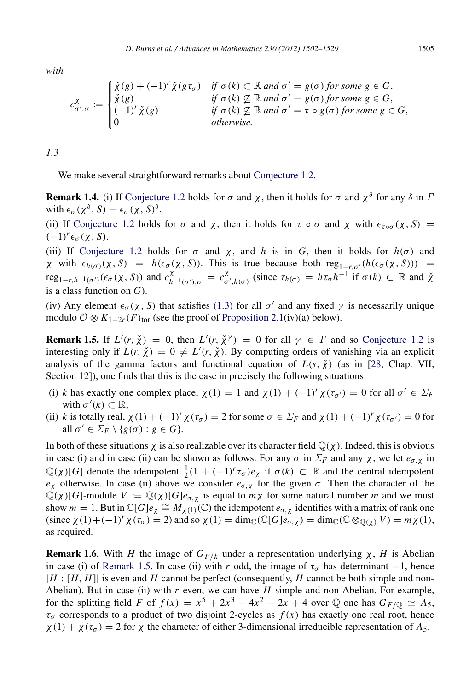*with*

$$
c_{\sigma',\sigma}^{\chi} := \begin{cases} \check{\chi}(g) + (-1)^{r} \check{\chi}(g\tau_{\sigma}) & \text{if } \sigma(k) \subset \mathbb{R} \text{ and } \sigma' = g(\sigma) \text{ for some } g \in G, \\ \check{\chi}(g) & \text{if } \sigma(k) \not\subseteq \mathbb{R} \text{ and } \sigma' = g(\sigma) \text{ for some } g \in G, \\ (-1)^{r} \check{\chi}(g) & \text{if } \sigma(k) \not\subseteq \mathbb{R} \text{ and } \sigma' = \tau \circ g(\sigma) \text{ for some } g \in G, \\ 0 & \text{otherwise.} \end{cases}
$$

*1.3*

<span id="page-3-1"></span>We make several straightforward remarks about [Conjecture 1.2.](#page-2-0)

**Remark 1.4.** (i) If [Conjecture 1.2](#page-2-0) holds for  $\sigma$  and  $\chi$ , then it holds for  $\sigma$  and  $\chi^{\delta}$  for any  $\delta$  in  $\Gamma$ with  $\epsilon_{\sigma}(\chi^{\delta}, S) = \epsilon_{\sigma}(\chi, S)^{\delta}$ .

(ii) If [Conjecture 1.2](#page-2-0) holds for  $\sigma$  and  $\chi$ , then it holds for  $\tau \circ \sigma$  and  $\chi$  with  $\epsilon_{\tau \circ \sigma}(\chi, S)$  =  $(-1)<sup>r</sup> ε<sub>σ</sub>(χ, S).$ 

(iii) If [Conjecture 1.2](#page-2-0) holds for  $\sigma$  and  $\chi$ , and *h* is in *G*, then it holds for  $h(\sigma)$  and *χ* with  $\epsilon_{h(\sigma)}(\chi, S) = h(\epsilon_{\sigma}(\chi, S))$ . This is true because both reg<sub>1−*r*,σ'</sub>(*h*( $\epsilon_{\sigma}(\chi, S)$ )) = reg<sub>1−*r*,*h*<sup>−1</sup>(σ')</sub>( $\epsilon_{\sigma}$ (χ, S)) and  $c_{h^{-1}(\sigma')}^{\chi}$  =  $c_{\sigma}^{\chi}$  $\chi^{\chi}$ <sub>σ',*h*(σ)</sub> (since τ<sub>*h*(σ)</sub> = *h*τ<sub>σ</sub> *h*<sup>-1</sup> if σ(*k*) ⊂ ℝ and  $\chi^{\chi}$ is a class function on *G*).

(iv) Any element  $\epsilon_{\sigma}(\chi, S)$  that satisfies [\(1.3\)](#page-2-1) for all  $\sigma'$  and any fixed  $\gamma$  is necessarily unique modulo  $\mathcal{O} \otimes K_{1-2r}(F)_{\text{tor}}$  (see the proof of [Proposition 2.1\(](#page-4-0)iv)(a) below).

<span id="page-3-0"></span>**Remark 1.5.** If  $L'(r, \chi) = 0$ , then  $L'(r, \chi^{\gamma}) = 0$  for all  $\gamma \in \Gamma$  and so [Conjecture 1.2](#page-2-0) is interesting only if  $L(r, \chi) = 0 \neq L'(r, \chi)$ . By computing orders of vanishing via an explicit analysis of the gamma factors and functional equation of  $L(s, \chi)$  (as in [\[28,](#page-27-8) Chap. VII, Section 12]), one finds that this is the case in precisely the following situations:

- (i) *k* has exactly one complex place,  $\chi(1) = 1$  and  $\chi(1) + (-1)^r \chi(\tau_{\sigma'}) = 0$  for all  $\sigma' \in \Sigma_F$ with  $\sigma'(k) \subset \mathbb{R}$ ;
- (ii) *k* is totally real,  $\chi(1) + (-1)^r \chi(\tau_\sigma) = 2$  for some  $\sigma \in \Sigma_F$  and  $\chi(1) + (-1)^r \chi(\tau_{\sigma'}) = 0$  for all  $\sigma' \in \Sigma_F \setminus \{g(\sigma) : g \in G\}.$

In both of these situations  $\chi$  is also realizable over its character field  $\mathbb{Q}(\chi)$ . Indeed, this is obvious in case (i) and in case (ii) can be shown as follows. For any  $\sigma$  in  $\Sigma_F$  and any  $\chi$ , we let  $e_{\sigma,\chi}$  in  $\mathbb{Q}(\chi)[G]$  denote the idempotent  $\frac{1}{2}(1 + (-1)^r \tau_\sigma) e_\chi$  if  $\sigma(k) \subset \mathbb{R}$  and the central idempotent  $e_X$  otherwise. In case (ii) above we consider  $e_{\sigma,\chi}$  for the given  $\sigma$ . Then the character of the  $\mathbb{Q}(\chi)[G]$ -module  $V := \mathbb{Q}(\chi)[G]e_{\sigma,\chi}$  is equal to  $m\chi$  for some natural number *m* and we must show  $m = 1$ . But in  $\mathbb{C}[G]e_\chi \cong M_{\chi(1)}(\mathbb{C})$  the idempotent  $e_{\sigma,\chi}$  identifies with a matrix of rank one (since  $\chi(1) + (-1)^r \chi(\tau_\sigma) = 2$ ) and so  $\chi(1) = \dim_{\mathbb{C}}(\mathbb{C}[G]e_{\sigma,\chi}) = \dim_{\mathbb{C}}(\mathbb{C} \otimes_{\mathbb{Q}(\chi)} V) = m\chi(1)$ , as required.

<span id="page-3-2"></span>**Remark 1.6.** With *H* the image of  $G_{F/k}$  under a representation underlying  $\chi$ , *H* is Abelian in case (i) of [Remark 1.5.](#page-3-0) In case (ii) with *r* odd, the image of  $\tau_{\sigma}$  has determinant -1, hence  $|H : [H, H]|$  is even and *H* cannot be perfect (consequently, *H* cannot be both simple and non-Abelian). But in case (ii) with *r* even, we can have *H* simple and non-Abelian. For example, for the splitting field *F* of  $f(x) = x^5 + 2x^3 - 4x^2 - 2x + 4$  over Q one has  $G_F$ /Q  $\simeq A_5$ ,  $\tau_{\sigma}$  corresponds to a product of two disjoint 2-cycles as  $f(x)$  has exactly one real root, hence  $\chi(1) + \chi(\tau_{\sigma}) = 2$  for  $\chi$  the character of either 3-dimensional irreducible representation of A<sub>5</sub>.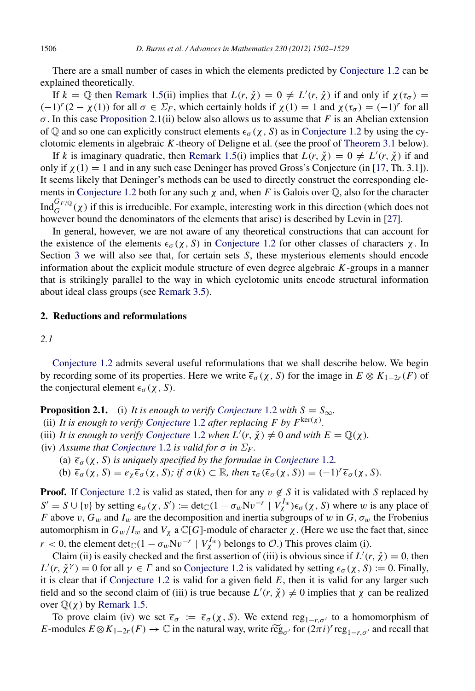There are a small number of cases in which the elements predicted by [Conjecture 1.2](#page-2-0) can be explained theoretically.

If  $k = \mathbb{Q}$  then [Remark 1.5\(](#page-3-0)ii) implies that  $L(r, \chi) = 0 \neq L'(r, \chi)$  if and only if  $\chi(\tau_{\sigma}) =$  $(-1)^r (2 - \chi(1))$  for all  $\sigma \in \Sigma_F$ , which certainly holds if  $\chi(1) = 1$  and  $\chi(\tau_\sigma) = (-1)^r$  for all  $\sigma$ . In this case [Proposition 2.1\(](#page-4-0)ii) below also allows us to assume that *F* is an Abelian extension of Q and so one can explicitly construct elements  $\epsilon_{\sigma}(\chi, S)$  as in [Conjecture 1.2](#page-2-0) by using the cyclotomic elements in algebraic *K*-theory of Deligne et al. (see the proof of [Theorem 3.1](#page-8-0) below).

If *k* is imaginary quadratic, then [Remark 1.5\(](#page-3-0)i) implies that  $L(r, \chi) = 0 \neq L'(r, \chi)$  if and only if  $\chi(1) = 1$  and in any such case Deninger has proved Gross's Conjecture (in [\[17,](#page-27-9) Th. 3.1]). It seems likely that Deninger's methods can be used to directly construct the corresponding ele-ments in [Conjecture 1.2](#page-2-0) both for any such  $\chi$  and, when *F* is Galois over  $\mathbb{Q}$ , also for the character Ind ${}^{G_F}_{G}(\chi)$  if this is irreducible. For example, interesting work in this direction (which does not however bound the denominators of the elements that arise) is described by Levin in [\[27\]](#page-27-10).

In general, however, we are not aware of any theoretical constructions that can account for the existence of the elements  $\epsilon_{\sigma}(\chi, S)$  in [Conjecture 1.2](#page-2-0) for other classes of characters  $\chi$ . In Section [3](#page-8-1) we will also see that, for certain sets *S*, these mysterious elements should encode information about the explicit module structure of even degree algebraic *K*-groups in a manner that is strikingly parallel to the way in which cyclotomic units encode structural information about ideal class groups (see [Remark 3.5\)](#page-11-0).

## 2. Reductions and reformulations

## *2.1*

[Conjecture 1.2](#page-2-0) admits several useful reformulations that we shall describe below. We begin by recording some of its properties. Here we write  $\bar{\epsilon}_{\sigma}(\chi, S)$  for the image in  $E \otimes K_{1-2r}(F)$  of the conjectural element  $\epsilon_{\sigma}(\chi, S)$ .

<span id="page-4-0"></span>**Proposition 2.1.** (i) *It is enough to verify [Conjecture](#page-2-0)* 1.2 *with*  $S = S_{\infty}$ *.* 

- (ii) It is enough to verify [Conjecture](#page-2-0) 1.2 after replacing F by  $F^{\text{ker}(\chi)}$ .
- (iii) *It is enough to verify [Conjecture](#page-2-0)* 1.2 *when*  $L'(r, \chi) \neq 0$  *and with*  $E = \mathbb{Q}(\chi)$ *.*
- (iv) Assume that [Conjecture](#page-2-0) 1.2 is valid for  $\sigma$  in  $\Sigma_F$ .
	- (a)  $\overline{\epsilon}_{\sigma}(\chi, S)$  *is uniquely specified by the formulae in [Conjecture](#page-2-0)* 1.2*.*
	- (b)  $\overline{\epsilon}_{\sigma}(\chi, S) = e_{\chi} \overline{\epsilon}_{\sigma}(\chi, S)$ ; if  $\sigma(k) \subset \mathbb{R}$ , then  $\tau_{\sigma}(\overline{\epsilon}_{\sigma}(\chi, S)) = (-1)^{r} \overline{\epsilon}_{\sigma}(\chi, S)$ .

**Proof.** If [Conjecture 1.2](#page-2-0) is valid as stated, then for any  $v \notin S$  it is validated with *S* replaced by  $S' = S \cup \{v\}$  by setting  $\epsilon_{\sigma}(\chi, S') := \det_{\mathbb{C}} (1 - \sigma_w Nv^{-r} | V_{\chi}^{I_w}) \epsilon_{\sigma}(\chi, S)$  where w is any place of *F* above v,  $G_w$  and  $I_w$  are the decomposition and inertia subgroups of w in  $G$ ,  $\sigma_w$  the Frobenius automorphism in  $G_w/I_w$  and  $V_\chi$  a  $\mathbb{C}[G]$ -module of character  $\chi$ . (Here we use the fact that, since *r* < 0, the element det $_{\mathbb{C}}(1 - \sigma_w Nv^{-r} | V_x^{I_w})$  belongs to  $\mathcal{O}$ .) This proves claim (i).

Claim (ii) is easily checked and the first assertion of (iii) is obvious since if  $L'(r, \chi) = 0$ , then  $L'(r, \chi^{\gamma}) = 0$  for all  $\gamma \in \Gamma$  and so [Conjecture 1.2](#page-2-0) is validated by setting  $\epsilon_{\sigma}(\chi, S) := 0$ . Finally, it is clear that if Conjecture  $1.2$  is valid for a given field  $E$ , then it is valid for any larger such field and so the second claim of (iii) is true because  $L'(r, \chi) \neq 0$  implies that  $\chi$  can be realized over  $\mathbb{Q}(\chi)$  by [Remark 1.5.](#page-3-0)

To prove claim (iv) we set  $\bar{\epsilon}_{\sigma} := \bar{\epsilon}_{\sigma}(\chi, S)$ . We extend reg<sub>1−*r*, $\sigma'$ </sub> to a homomorphism of *E*-modules  $E \otimes K_{1-2r}(F) \to \mathbb{C}$  in the natural way, write  $\widetilde{reg}_{\sigma'}$  for  $(2\pi i)^r reg_{1-r,\sigma'}$  and recall that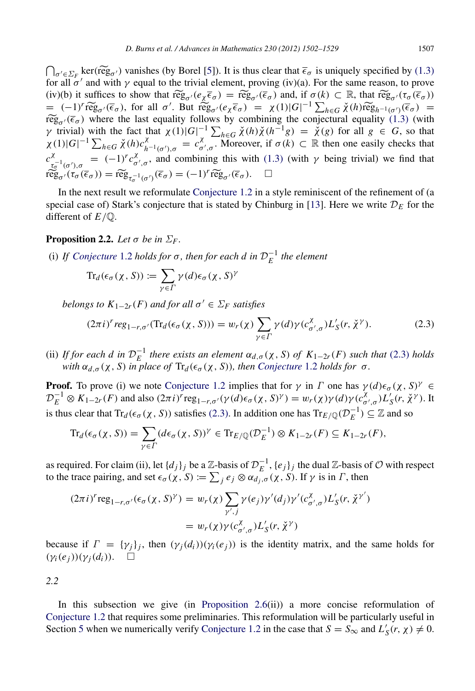$\bigcap_{\sigma' \in \Sigma_F}$  ker(reg<sub>σ'</sub>) vanishes (by Borel [\[5\]](#page-27-11)). It is thus clear that  $\overline{\epsilon}_{\sigma}$  is uniquely specified by [\(1.3\)](#page-2-1) for all  $\sigma'$  and with  $\chi$  equal to the trivial element, proving (iv)(a). For the same reason, to pro for all  $\sigma'$  and with  $\gamma$  equal to the trivial element, proving (iv)(a). For the same reason, to prove (iv)(b) it suffices to show that  $\tilde{reg}_{\sigma'}(e_{\chi}\bar{\epsilon}_{\sigma}) = \tilde{reg}_{\sigma'}(\bar{\epsilon}_{\sigma})$  and, if  $\sigma(k) \subset \mathbb{R}$ , that  $\tilde{reg}_{\sigma'}(\tau_{\sigma}(\bar{\epsilon}_{\sigma})) = (-1)^{r} \tilde{reg}_{\sigma'}(\bar{\epsilon}_{\sigma})$ , for all  $\sigma'$ . But  $\tilde{reg}_{\sigma'}(e_{\chi}\bar{\epsilon}_{\sigma}) = \chi(1)|G|^{-1} \sum_{h \in G} \chi(h)$ (iv)(b) it suffices to show that  $\widetilde{\operatorname{reg}}_{\sigma'}(e_{\chi}\overline{\epsilon}_{\sigma}) = \widetilde{\operatorname{reg}}_{\sigma'}(\overline{\epsilon}_{\sigma})$  and, if  $\sigma(k) \subset \mathbb{R}$ , that  $\widetilde{\operatorname{reg}}_{\sigma'}(\tau_{\sigma}(\overline{\epsilon}_{\sigma}))$  $\widetilde{\text{reg}}_{\sigma'}(\overline{\epsilon}_{\sigma})$  where the last equality follows by combining the conjectural equality [\(1.3\)](#page-2-1) (with  $v$  fivial) with the fact that  $\chi(1)|G|^{-1}\sum_{\sigma} \chi(b)\chi(b^{-1}\alpha) = \chi(a)$  for all  $a \in G$  so that *γ* trivial) with the fact that  $χ(1)|G|^{-1} ∑_{h∈G} χ(h)χ(h^{-1}g) = χ(g)$  for all  $g ∈ G$ , so that  $\chi(1)|G|^{-1} \sum_{h \in G} \check{\chi}(h) c_{h^{-1}(\sigma'),\sigma}^{\chi} = c_{\sigma}^{\chi}$  $\overline{a}_{\sigma',\sigma}^{\chi}$ . Moreover, if  $\sigma(k) \subset \mathbb{R}$  then one easily checks that *c* χ  $\frac{\chi}{\tau_{\sigma}^{-1}(\sigma'),\sigma} = (-1)^r c_{\sigma}^{\chi}$  $\alpha'_{\sigma',\sigma}$ , and combining this with [\(1.3\)](#page-2-1) (with γ being trivial) we find that  $\widetilde{\operatorname{reg}}_{\sigma'}(\widetilde{\tau}_{\sigma}(\overline{\epsilon}_{\sigma})) = \widetilde{\operatorname{reg}}_{\tau_{\sigma}^{-1}(\sigma')}(\overline{\epsilon}_{\sigma}) = (-1)^{r} \widetilde{\operatorname{reg}}_{\sigma'}(\overline{\epsilon}_{\sigma}). \quad \Box$ 

In the next result we reformulate [Conjecture 1.2](#page-2-0) in a style reminiscent of the refinement of (a special case of) Stark's conjecture that is stated by Chinburg in [\[13\]](#page-27-7). Here we write  $D<sub>E</sub>$  for the different of *E*/Q.

## **Proposition 2.2.** *Let*  $\sigma$  *be in*  $\Sigma_F$ *.*

(i) If [Conjecture](#page-2-0) 1.2 holds for  $\sigma$ , then for each d in  $\mathcal{D}_E^{-1}$  the element

<span id="page-5-0"></span>
$$
\mathrm{Tr}_d(\epsilon_{\sigma}(\chi, S)) := \sum_{\gamma \in \Gamma} \gamma(d) \epsilon_{\sigma}(\chi, S)^{\gamma}
$$

*belongs to*  $K_{1-2r}(F)$  *and for all*  $\sigma' \in \Sigma_F$  *satisfies* 

<span id="page-5-1"></span>
$$
(2\pi i)^r reg_{1-r,\sigma'}(\text{Tr}_d(\epsilon_\sigma(\chi, S))) = w_r(\chi) \sum_{\gamma \in \Gamma} \gamma(d) \gamma(c_{\sigma',\sigma}^\chi) L'_S(r, \check{\chi}^\gamma). \tag{2.3}
$$

(ii) If for each d in  $\mathcal{D}_E^{-1}$  there exists an element  $\alpha_{d,\sigma}(\chi, S)$  of  $K_{1-2r}(F)$  such that [\(2.3\)](#page-5-1) holds *with*  $\alpha_{d,\sigma}(\chi, S)$  *in place of*  $\text{Tr}_d(\epsilon_{\sigma}(\chi, S))$ *, then [Conjecture](#page-2-0)* 1.2 *holds for*  $\sigma$ *.* 

**Proof.** To prove (i) we note [Conjecture 1.2](#page-2-0) implies that for  $\gamma$  in  $\Gamma$  one has  $\gamma(d)\epsilon_{\sigma}(\chi, S)^{\gamma} \in$  $\mathcal{D}_E^{-1} \otimes K_{1-2r}(F)$  and also  $(2\pi i)^r$  reg<sub>1−*r*,σ'</sub>(γ(*d*) $\epsilon_\sigma$ (χ, *S*)<sup>γ</sup>) =  $w_r(\chi)\gamma(d)\gamma(c_\sigma^{\chi})$  $\chi^{\chi}_{\sigma',\sigma}$ ) $L'_{S}(r, \check{\chi}^{\gamma})$ . It is thus clear that  $Tr_d(\epsilon_{\sigma}(\chi, S))$  satisfies [\(2.3\).](#page-5-1) In addition one has  $Tr_{E/\mathbb{Q}}(\mathcal{D}_E^{-1}) \subseteq \mathbb{Z}$  and so

$$
\mathrm{Tr}_d(\epsilon_{\sigma}(\chi, S)) = \sum_{\gamma \in \Gamma} (d\epsilon_{\sigma}(\chi, S))^{\gamma} \in \mathrm{Tr}_{E/\mathbb{Q}}(\mathcal{D}_E^{-1}) \otimes K_{1-2r}(F) \subseteq K_{1-2r}(F),
$$

as required. For claim (ii), let  $\{d_j\}_j$  be a  $\mathbb{Z}$ -basis of  $\mathcal{D}_E^{-1}$ ,  $\{e_j\}_j$  the dual  $\mathbb{Z}$ -basis of  $\mathcal{O}$  with respect to the trace pairing, and set  $\epsilon_{\sigma}(\chi, S) := \sum_j e_j \otimes \alpha_{d_j, \sigma}(\chi, S)$ . If  $\gamma$  is in  $\Gamma$ , then

$$
(2\pi i)^r \operatorname{reg}_{1-r,\sigma'}(\epsilon_{\sigma}(\chi, S)^{\gamma}) = w_r(\chi) \sum_{\gamma',j} \gamma(e_j) \gamma'(d_j) \gamma'(c^{\chi}_{\sigma',\sigma}) L'_{S}(r, \check{\chi}^{\gamma'})
$$
  
= 
$$
w_r(\chi) \gamma(c^{\chi}_{\sigma',\sigma}) L'_{S}(r, \check{\chi}^{\gamma})
$$

because if  $\Gamma = {\gamma_j}_j$ , then  $(\gamma_j(d_i))(\gamma_i(e_j))$  is the identity matrix, and the same holds for  $(\gamma_i(e_i))(\gamma_i(d_i)). \square$ 

*2.2*

In this subsection we give (in [Proposition 2.6\(](#page-6-0)ii)) a more concise reformulation of [Conjecture 1.2](#page-2-0) that requires some preliminaries. This reformulation will be particularly useful in Section [5](#page-22-0) when we numerically verify [Conjecture 1.2](#page-2-0) in the case that  $S = S_{\infty}$  and  $L'_{S}(r, \chi) \neq 0$ .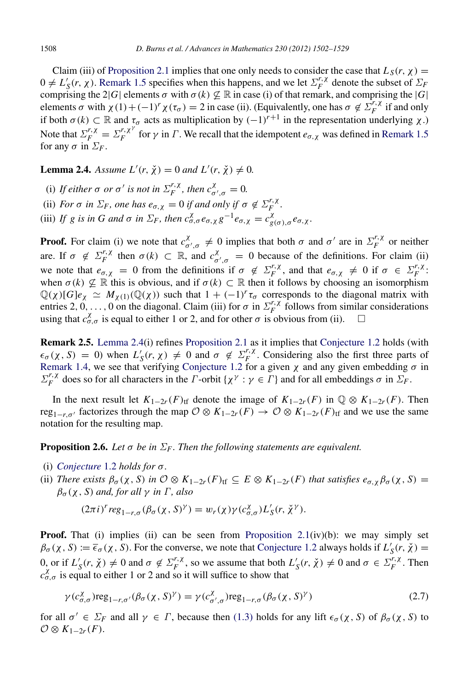Claim (iii) of [Proposition 2.1](#page-4-0) implies that one only needs to consider the case that  $L_S(r, \chi)$  =  $0 \neq L'_{S}(r, \chi)$ . [Remark 1.5](#page-3-0) specifies when this happens, and we let  $\Sigma_{F}^{r, \chi}$  $E_F^{\prime\prime}$  denote the subset of  $\Sigma_F$ comprising the 2|*G*| elements  $\sigma$  with  $\sigma$ (*k*)  $\nsubseteq \mathbb{R}$  in case (i) of that remark, and comprising the |*G*| elements  $\sigma$  with  $\chi(1) + (-1)^r \chi(\tau_\sigma) = 2$  in case (ii). (Equivalently, one has  $\sigma \notin \Sigma_F^{r,\chi}$  $\int_F^{\prime}$  *if* and only if both  $\sigma(k) \subset \mathbb{R}$  and  $\tau_{\sigma}$  acts as multiplication by  $(-1)^{r+1}$  in the representation underlying  $\chi$ .) Note that  $\sum_{F}^{r, \chi} = \sum_{F}^{r, \chi^{\gamma}}$  $f_F^{f,X}$  for  $\gamma$  in  $\Gamma$ . We recall that the idempotent  $e_{\sigma,X}$  was defined in [Remark 1.5](#page-3-0) for any  $\sigma$  in  $\Sigma_F$ .

<span id="page-6-1"></span>**Lemma 2.4.** *Assume*  $L'(r, \chi) = 0$  *and*  $L'(r, \chi) \neq 0$ *.* 

- (i) If either  $\sigma$  or  $\sigma'$  is not in  $\Sigma_F^{r,\chi}$  $E_F^{r,\chi}$ , then  $c_{\sigma',\sigma}^{\chi} = 0$ .
- (ii) *For*  $\sigma$  *in*  $\Sigma_F$ , *one* has  $e_{\sigma, \chi} = 0$  *if and only if*  $\sigma \notin \Sigma_F^{r, \chi}$  $\int\limits_{F}^{\prime}$ .

(iii) *If g is in G and*  $\sigma$  *in*  $\Sigma_F$ , *then*  $c^{\chi}_{\sigma,\sigma} e_{\sigma,\chi} g^{-1} e_{\sigma,\chi} = c^{\chi}_{g(\sigma),\sigma} e_{\sigma,\chi}$ .

**Proof.** For claim (i) we note that  $c_{\sigma}^{\chi}$  $\alpha'_{\sigma',\sigma} \neq 0$  implies that both  $\sigma$  and  $\sigma'$  are in  $\Sigma_F^{r,\chi}$  $F$ <sup> $\prime$ </sup>, or neither are. If  $\sigma \notin \Sigma_F^{r,\chi}$  $E_F^{r, \chi}$  then  $\sigma(k) \subset \mathbb{R}$ , and  $c_{\sigma}^{\chi}$  $\chi^{\chi}$  = 0 because of the definitions. For claim (ii) we note that  $e_{\sigma,\chi} = 0$  from the definitions if  $\sigma \notin \Sigma_F^{r,\chi}$  $F_F^{r,\chi}$ , and that  $e_{\sigma,\chi} \neq 0$  if  $\sigma \in \Sigma_F^{r,\chi}$  $\int\limits_F^{\prime\,\,\prime}$ . when  $\sigma(k) \nsubseteq \mathbb{R}$  this is obvious, and if  $\sigma(k) \subset \mathbb{R}$  then it follows by choosing an isomorphism  $\mathbb{Q}(\chi)[G]e_{\chi} \simeq M_{\chi(1)}(\mathbb{Q}(\chi))$  such that  $1 + (-1)^r \tau_{\sigma}$  corresponds to the diagonal matrix with entries 2,  $0, \ldots, 0$  on the diagonal. Claim (iii) for  $\sigma$  in  $\Sigma_F^{r, \chi}$  $\int_{F}^{\prime,\lambda}$  follows from similar considerations using that  $c_{\sigma,\sigma}^{\chi}$  is equal to either 1 or 2, and for other  $\sigma$  is obvious from (ii).  $\square$ 

Remark 2.5. [Lemma 2.4\(](#page-6-1)i) refines [Proposition 2.1](#page-4-0) as it implies that [Conjecture 1.2](#page-2-0) holds (with  $\epsilon_{\sigma}(\chi, S) = 0$ ) when  $L'_{S}(r, \chi) \neq 0$  and  $\sigma \notin \Sigma_{F}^{r, \chi}$  $F_F^{\prime,\lambda}$ . Considering also the first three parts of [Remark 1.4,](#page-3-1) we see that verifying [Conjecture 1.2](#page-2-0) for a given  $\chi$  and any given embedding  $\sigma$  in  $\Sigma_F^{r,\chi}$ *F*, *X* does so for all characters in the *Γ*-orbit { $\chi^{\gamma}$  :  $\gamma \in \Gamma$ } and for all embeddings  $\sigma$  in  $\Sigma_F$ .

In the next result let  $K_{1-2r}(F)$ <sub>tf</sub> denote the image of  $K_{1-2r}(F)$  in  $\mathbb{Q} \otimes K_{1-2r}(F)$ . Then reg<sub>1−*r*, $\sigma'$ </sub> factorizes through the map  $\mathcal{O} \otimes K_{1-2r}(F) \to \mathcal{O} \otimes K_{1-2r}(F)$ <sub>tf</sub> and we use the same notation for the resulting map.

<span id="page-6-0"></span>**Proposition 2.6.** Let  $\sigma$  be in  $\Sigma_F$ . Then the following statements are equivalent.

- (i) *[Conjecture](#page-2-0)* 1.2 *holds for* σ*.*
- (ii) *There exists*  $\beta_{\sigma}(\chi, S)$  *in*  $\mathcal{O} \otimes K_{1-2r}(F)$ <sub>tf</sub>  $\subseteq E \otimes K_{1-2r}(F)$  *that satisfies*  $e_{\sigma,\chi}\beta_{\sigma}(\chi, S)$  =  $\beta_{\sigma}(\chi, S)$  *and, for all*  $\gamma$  *in*  $\Gamma$ *, also*

<span id="page-6-2"></span>
$$
(2\pi i)^r \operatorname{reg}_{1-r,\sigma}(\beta_{\sigma}(\chi,S)^{\gamma}) = w_r(\chi) \gamma(c^{\chi}_{\sigma,\sigma}) L'_{S}(r,\check{\chi}^{\gamma}).
$$

**Proof.** That (i) implies (ii) can be seen from Proposition  $2.1(iv)(b)$ : we may simply set  $\beta_{\sigma}(\chi, S) := \overline{\epsilon}_{\sigma}(\chi, \overline{S})$ . For the converse, we note that [Conjecture 1.2](#page-2-0) always holds if  $L'_{S}(r, \chi) =$  $0, \text{ or if } L'_{S}(r, \chi) \neq 0 \text{ and } \sigma \notin \Sigma_{F}^{r, \chi}$  $E_F^{r,\chi}$ , so we assume that both  $L'_{S}(r, \chi) \neq 0$  and  $\sigma \in \Sigma_F^{r,\chi}$  $\int_F^{t,\lambda}$ . Then  $c_{\sigma,\sigma}^{\chi}$  is equal to either 1 or 2 and so it will suffice to show that

$$
\gamma(c_{\sigma,\sigma}^{\chi}) \text{reg}_{1-r,\sigma'}(\beta_{\sigma}(\chi,S)^{\gamma}) = \gamma(c_{\sigma',\sigma}^{\chi}) \text{reg}_{1-r,\sigma}(\beta_{\sigma}(\chi,S)^{\gamma})
$$
\n(2.7)

for all  $\sigma' \in \Sigma_F$  and all  $\gamma \in \Gamma$ , because then [\(1.3\)](#page-2-1) holds for any lift  $\epsilon_{\sigma}(\chi, S)$  of  $\beta_{\sigma}(\chi, S)$  to  $\mathcal{O}\otimes K_{1-2r}(F).$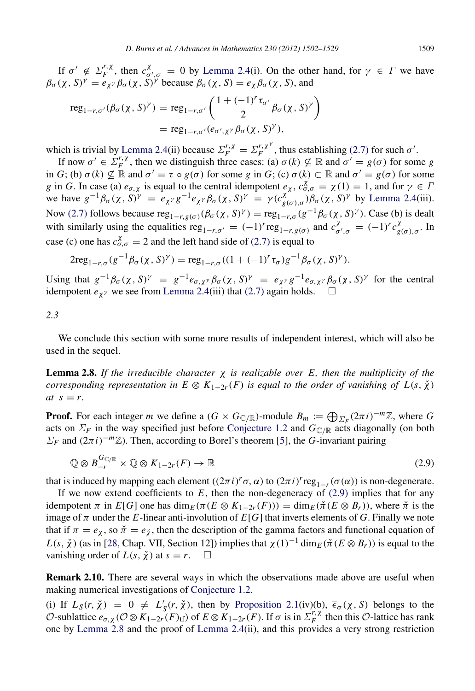If  $σ' \notin Σ<sub>F</sub><sup>r, χ</sup>$  $r, \chi$ <sub>F</sub><sup> $\chi$ </sup>, then  $c_{\sigma}^{\chi}$  $\frac{\gamma}{\sigma',\sigma} = 0$  by [Lemma 2.4\(](#page-6-1)i). On the other hand, for  $\gamma \in \Gamma$  we have  $\beta_{\sigma}(\chi, S)^{\gamma} = e_{\chi^{\gamma}} \beta_{\sigma}(\chi, \bar{S})^{\gamma}$  because  $\beta_{\sigma}(\chi, S) = e_{\chi} \beta_{\sigma}(\chi, S)$ , and

$$
\operatorname{reg}_{1-r,\sigma'}(\beta_{\sigma}(\chi,S)^{\gamma}) = \operatorname{reg}_{1-r,\sigma'}\left(\frac{1+(-1)^{r}\tau_{\sigma'}}{2}\beta_{\sigma}(\chi,S)^{\gamma}\right)
$$

$$
= \operatorname{reg}_{1-r,\sigma'}(e_{\sigma',\chi^{\gamma}}\beta_{\sigma}(\chi,S)^{\gamma}),
$$

which is trivial by [Lemma 2.4\(](#page-6-1)ii) because  $\Sigma_F^{r,\chi} = \Sigma_F^{r,\chi^{\gamma}}$  $F_F^{r,\chi^{\gamma}}$ , thus establishing [\(2.7\)](#page-6-2) for such  $\sigma^{\gamma}$ .

If now  $\sigma' \in \Sigma_F^{r,\chi}$ *F*, *X*, then we distinguish three cases: (a)  $\sigma(k) \not\subseteq \mathbb{R}$  and  $\sigma' = g(\sigma)$  for some *g* in *G*; (b)  $\sigma(k) \not\subseteq \mathbb{R}$  and  $\sigma' = \tau \circ g(\sigma)$  for some *g* in *G*; (c)  $\sigma(k) \subset \mathbb{R}$  and  $\sigma' = g(\sigma)$  for some *g* in *G*. In case (a)  $e_{\sigma,\chi}$  is equal to the central idempotent  $e_{\chi}$ ,  $c_{\sigma,\sigma}^{\chi} = \chi(1) = 1$ , and for  $\gamma \in \Gamma$ we have  $g^{-1}\beta_\sigma(\chi, S)^\gamma = e_{\chi^\gamma}g^{-1}e_{\chi^\gamma}\beta_\sigma(\chi, S)^\gamma = \gamma(c_{g(\sigma), \sigma}^{\chi^\wedge})\beta_\sigma(\chi, S)^\gamma$  by [Lemma 2.4\(](#page-6-1)iii). Now [\(2.7\)](#page-6-2) follows because  $reg_{1-r,g(\sigma)}(\beta_{\sigma}(\chi, S)^{\gamma}) = reg_{1-r,\sigma}(g^{-1}\beta_{\sigma}(\chi, S)^{\gamma})$ . Case (b) is dealt with similarly using the equalities  $reg_{1-r,\sigma'} = (-1)^r reg_{1-r,g(\sigma)}$  and  $c^{\chi}_{\sigma}$  $\frac{\chi}{\sigma', \sigma} = (-1)^r c_{g(\sigma), \sigma}^{\chi}$ . In case (c) one has  $c^{\chi}_{\sigma,\sigma} = 2$  and the left hand side of [\(2.7\)](#page-6-2) is equal to

$$
2\mathrm{reg}_{1-r,\sigma}(g^{-1}\beta_{\sigma}(\chi,S)^{\gamma}) = \mathrm{reg}_{1-r,\sigma}((1+(-1)^{r}\tau_{\sigma})g^{-1}\beta_{\sigma}(\chi,S)^{\gamma}).
$$

Using that  $g^{-1}\beta_{\sigma}(\chi, S)^{\gamma} = g^{-1}e_{\sigma, \chi^{\gamma}}\beta_{\sigma}(\chi, S)^{\gamma} = e_{\chi^{\gamma}}g^{-1}e_{\sigma, \chi^{\gamma}}\beta_{\sigma}(\chi, S)^{\gamma}$  for the central idempotent  $e_{\chi}$ <sup>γ</sup> we see from [Lemma 2.4\(](#page-6-1)iii) that [\(2.7\)](#page-6-2) again holds.  $\square$ 

*2.3*

We conclude this section with some more results of independent interest, which will also be used in the sequel.

<span id="page-7-1"></span>Lemma 2.8. *If the irreducible character* χ *is realizable over E, then the multiplicity of the corresponding representation in*  $E \otimes K_{1-2r}(F)$  *is equal to the order of vanishing of*  $L(s, \chi)$  $at s = r.$ 

**Proof.** For each integer *m* we define a  $(G \times G_{\mathbb{C}/\mathbb{R}})$ -module  $B_m := \bigoplus_{\Sigma_F} (2\pi i)^{-m} \mathbb{Z}$ , where *G* acts on  $\Sigma_F$  in the way specified just before [Conjecture 1.2](#page-2-0) and  $G_{\mathbb{C}/\mathbb{R}}$  acts diagonally (on both  $\Sigma_F$  and  $(2\pi i)^{-m}\mathbb{Z}$ ). Then, according to Borel's theorem [\[5\]](#page-27-11), the *G*-invariant pairing

<span id="page-7-0"></span>
$$
\mathbb{Q} \otimes B_{-r}^{G_{\mathbb{C}/\mathbb{R}}} \times \mathbb{Q} \otimes K_{1-2r}(F) \to \mathbb{R}
$$
\n(2.9)

that is induced by mapping each element  $((2\pi i)^r \sigma, \alpha)$  to  $(2\pi i)^r \text{reg}_{1-r}(\sigma(\alpha))$  is non-degenerate.

If we now extend coefficients to  $E$ , then the non-degeneracy of  $(2.9)$  implies that for any idempotent  $\pi$  in  $E[G]$  one has  $\dim_E(\pi(E \otimes K_{1-2r}(F))) = \dim_E(\check{\pi}(E \otimes B_r))$ , where  $\check{\pi}$  is the image of  $\pi$  under the *E*-linear anti-involution of  $E[G]$  that inverts elements of G. Finally we note that if  $\pi = e_\chi$ , so  $\check{\pi} = e_{\check{\chi}}$ , then the description of the gamma factors and functional equation of  $L(s, \chi)$  (as in [\[28,](#page-27-8) Chap. VII, Section 12]) implies that  $\chi(1)^{-1} \dim_E(\check{\pi}(E \otimes B_r))$  is equal to the vanishing order of  $L(s, \chi)$  at  $s = r$ .  $\Box$ 

<span id="page-7-2"></span>Remark 2.10. There are several ways in which the observations made above are useful when making numerical investigations of [Conjecture 1.2.](#page-2-0)

(i) If  $L_S(r, \chi) = 0 \neq L'_S(r, \chi)$ , then by [Proposition 2.1\(](#page-4-0)iv)(b),  $\bar{\epsilon}_{\sigma}(\chi, S)$  belongs to the  $\overline{\mathcal{O}}$ -sublattice  $e_{\sigma,\chi}$  ( $\mathcal{O}\otimes K_{1-2r}(F)_{\text{tf}}$ ) of  $E\otimes K_{1-2r}(F)$ . If  $\sigma$  is in  $\Sigma_F^{F,\chi}$  $\int_F^{\prime}$  then this O-lattice has rank one by [Lemma 2.8](#page-7-1) and the proof of [Lemma 2.4\(](#page-6-1)ii), and this provides a very strong restriction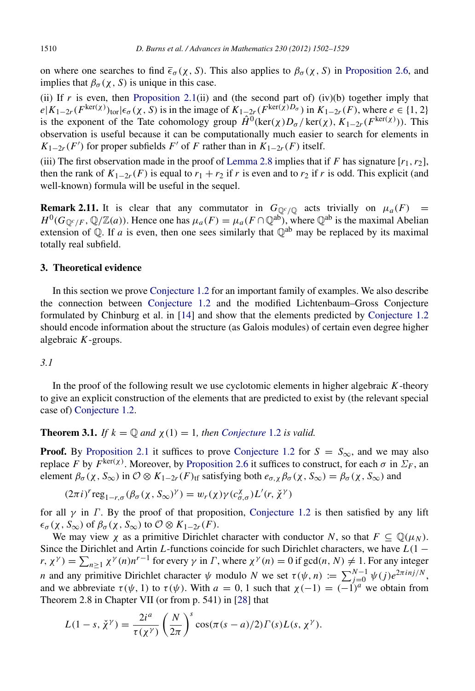on where one searches to find  $\bar{\epsilon}_{\sigma}(\chi, S)$ . This also applies to  $\beta_{\sigma}(\chi, S)$  in [Proposition 2.6,](#page-6-0) and implies that  $\beta_{\sigma}(\chi, S)$  is unique in this case.

(ii) If  $r$  is even, then [Proposition 2.1\(](#page-4-0)ii) and (the second part of) (iv)(b) together imply that  $e|K_{1-2r}(F^{\text{ker}(\chi)})_{\text{tor}}| \epsilon_{\sigma}(\chi, S)$  is in the image of  $K_{1-2r}(F^{\text{ker}(\chi)D_{\sigma}})$  in  $K_{1-2r}(F)$ , where  $e \in \{1, 2\}$ is the exponent of the Tate cohomology group  $\hat{H}^0(\text{ker}(\chi)D_\sigma/\text{ker}(\chi), K_{1-2r}(F^{\text{ker}(\chi)}))$ . This observation is useful because it can be computationally much easier to search for elements in  $K_{1-2r}(F')$  for proper subfields *F*<sup>'</sup> of *F* rather than in  $K_{1-2r}(F)$  itself.

(iii) The first observation made in the proof of [Lemma 2.8](#page-7-1) implies that if *F* has signature  $[r_1, r_2]$ , then the rank of  $K_{1-2r}(F)$  is equal to  $r_1 + r_2$  if *r* is even and to  $r_2$  if *r* is odd. This explicit (and well-known) formula will be useful in the sequel.

<span id="page-8-2"></span>**Remark 2.11.** It is clear that any commutator in  $G_{\mathbb{Q}^c/\mathbb{Q}}$  acts trivially on  $\mu_a(F)$  =  $H^0(G_{\mathbb{Q}^c/F}, \mathbb{Q}/\mathbb{Z}(a))$ . Hence one has  $\mu_a(F) = \mu_a(F \cap \mathbb{Q}^{ab})$ , where  $\mathbb{Q}^{ab}$  is the maximal Abelian extension of  $\overline{Q}$ . If *a* is even, then one sees similarly that  $\overline{Q}^{ab}$  may be replaced by its maximal totally real subfield.

## <span id="page-8-1"></span>3. Theoretical evidence

In this section we prove [Conjecture 1.2](#page-2-0) for an important family of examples. We also describe the connection between [Conjecture 1.2](#page-2-0) and the modified Lichtenbaum–Gross Conjecture formulated by Chinburg et al. in [\[14\]](#page-27-2) and show that the elements predicted by [Conjecture 1.2](#page-2-0) should encode information about the structure (as Galois modules) of certain even degree higher algebraic *K*-groups.

#### *3.1*

In the proof of the following result we use cyclotomic elements in higher algebraic *K*-theory to give an explicit construction of the elements that are predicted to exist by (the relevant special case of) [Conjecture 1.2.](#page-2-0)

<span id="page-8-0"></span>**Theorem 3.1.** *If*  $k = \mathbb{Q}$  *and*  $\chi(1) = 1$ *, then [Conjecture](#page-2-0)* 1.2 *is valid.* 

**Proof.** By [Proposition 2.1](#page-4-0) it suffices to prove [Conjecture 1.2](#page-2-0) for  $S = S_{\infty}$ , and we may also replace *F* by  $F^{\text{ker}(\chi)}$ . Moreover, by [Proposition 2.6](#page-6-0) it suffices to construct, for each  $\sigma$  in  $\Sigma_F$ , an element  $\beta_{\sigma}(\chi, S_{\infty})$  in  $\mathcal{O}\otimes K_{1-2r}(F)_{\text{tf}}$  satisfying both  $e_{\sigma,\chi}\beta_{\sigma}(\chi, S_{\infty}) = \beta_{\sigma}(\chi, S_{\infty})$  and

 $(2\pi i)^r \text{reg}_{1-r,\sigma}(\beta_\sigma(\chi, S_\infty)^\gamma) = w_r(\chi) \gamma(c_{\sigma,\sigma}^\chi) L'(r, \check{\chi}^\gamma)$ 

for all  $\gamma$  in  $\Gamma$ . By the proof of that proposition, [Conjecture 1.2](#page-2-0) is then satisfied by any lift  $\epsilon_{\sigma}(\chi, S_{\infty})$  of  $\beta_{\sigma}(\chi, S_{\infty})$  to  $\mathcal{O} \otimes K_{1-2r}(F)$ .

We may view  $\chi$  as a primitive Dirichlet character with conductor *N*, so that  $F \subseteq \mathbb{Q}(\mu_N)$ . Since the Dirichlet and Artin *L*-functions coincide for such Dirichlet characters, we have *L*(1 −  $(r, \chi^{\gamma}) = \sum_{n \geq 1} \chi^{\gamma}(n) n^{r-1}$  for every  $\gamma$  in  $\Gamma$ , where  $\chi^{\gamma}(n) = 0$  if gcd $(n, N) \neq 1$ . For any integer *n* and any primitive Dirichlet character  $\psi$  modulo *N* we set  $\tau(\psi, n) := \sum_{j=0}^{N-1} \psi(j) e^{2\pi i nj/N}$ , and we abbreviate  $\tau(\psi, 1)$  to  $\tau(\psi)$ . With  $a = 0, 1$  such that  $\chi(-1) = (-1)^a$  we obtain from Theorem 2.8 in Chapter VII (or from p. 541) in [\[28\]](#page-27-8) that

$$
L(1-s, \check{\chi}^{\gamma}) = \frac{2i^a}{\tau(\chi^{\gamma})} \left(\frac{N}{2\pi}\right)^s \cos(\pi(s-a)/2) \Gamma(s) L(s, \chi^{\gamma}).
$$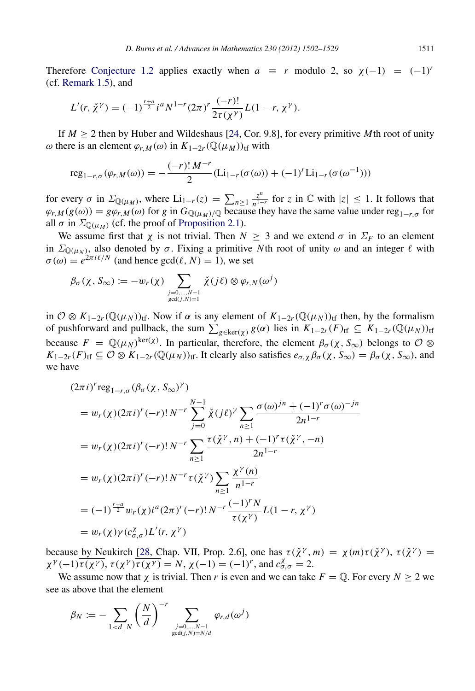Therefore [Conjecture 1.2](#page-2-0) applies exactly when  $a \equiv r$  modulo 2, so  $\chi(-1) = (-1)^r$ (cf. [Remark 1.5\)](#page-3-0), and

$$
L'(r,\check{\chi}^{\gamma})=(-1)^{\frac{r+a}{2}}i^aN^{1-r}(2\pi)^r\frac{(-r)!}{2\tau(\chi^{\gamma})}L(1-r,\chi^{\gamma}).
$$

If  $M \geq 2$  then by Huber and Wildeshaus [\[24,](#page-27-12) Cor. 9.8], for every primitive *M*th root of unity ω there is an element  $\varphi$ <sub>*r*,*M*</sub>(ω) in  $K_{1-2r}(\mathbb{Q}(\mu_M))_{\text{tf}}$  with

$$
reg_{1-r,\sigma}(\varphi_{r,M}(\omega)) = -\frac{(-r)! M^{-r}}{2} (Li_{1-r}(\sigma(\omega)) + (-1)^r Li_{1-r}(\sigma(\omega^{-1})))
$$

for every  $\sigma$  in  $\Sigma_{\mathbb{Q}(\mu_M)}$ , where  $\text{Li}_{1-r}(z) = \sum_{n \geq 1} \frac{z^n}{n^{1-r}}$  $\frac{z^n}{n^{1-r}}$  for *z* in ℂ with  $|z|$  ≤ 1. It follows that  $\varphi_{r,M}(g(\omega)) = g\varphi_{r,M}(\omega)$  for *g* in  $G_{\mathbb{Q}(\mu_M)/\mathbb{Q}}$  because they have the same value under reg<sub>1−*r*,σ</sub> for all  $\sigma$  in  $\Sigma_{\mathbb{Q}(\mu_M)}$  (cf. the proof of [Proposition 2.1\)](#page-4-0).

We assume first that  $\chi$  is not trivial. Then  $N \geq 3$  and we extend  $\sigma$  in  $\Sigma_F$  to an element in  $\Sigma_{\mathbb{Q}(\mu_N)}$ , also denoted by  $\sigma$ . Fixing a primitive *N*th root of unity  $\omega$  and an integer  $\ell$  with  $\sigma(\omega) = e^{2\pi i \ell/N}$  (and hence  $gcd(\ell, N) = 1$ ), we set

$$
\beta_{\sigma}(\chi, S_{\infty}) := -w_r(\chi) \sum_{\substack{j=0,\dots,N-1 \\ \gcd(j,N)=1}} \check{\chi}(j\ell) \otimes \varphi_{r,N}(\omega^j)
$$

in  $\mathcal{O} \otimes K_{1-2r}(\mathbb{Q}(\mu_N))$ <sub>tf</sub>. Now if  $\alpha$  is any element of  $K_{1-2r}(\mathbb{Q}(\mu_N))$ <sub>tf</sub> then, by the formalism of pushforward and pullback, the sum  $\sum_{g \in \text{ker}(\chi)} g(\alpha)$  lies in  $K_{1-2r}(F)_{\text{tf}} \subseteq K_{1-2r}(\mathbb{Q}(\mu_N))_{\text{tf}}$ because  $F = \mathbb{Q}(\mu_N)^{\ker(\chi)}$ . In particular, therefore, the element  $\beta_\sigma(\chi, S_\infty)$  belongs to  $\mathcal{O} \otimes$  $K_{1-2r}(F)_{\text{tf}} \subseteq \mathcal{O} \otimes K_{1-2r}(\mathbb{Q}(\mu_N))_{\text{tf}}$ . It clearly also satisfies  $e_{\sigma,\chi} \beta_{\sigma}(\chi, S_{\infty}) = \beta_{\sigma}(\chi, S_{\infty})$ , and we have

$$
(2\pi i)^r \operatorname{reg}_{1-r,\sigma}(\beta_{\sigma}(\chi, S_{\infty})^{\gamma})
$$
  
=  $w_r(\chi)(2\pi i)^r(-r)!\,N^{-r}\sum_{j=0}^{N-1}\check{\chi}(j\ell)^{\gamma}\sum_{n\geq 1}\frac{\sigma(\omega)^{jn}+(-1)^r\sigma(\omega)^{-jn}}{2n^{1-r}}$   
=  $w_r(\chi)(2\pi i)^r(-r)!\,N^{-r}\sum_{n\geq 1}\frac{\tau(\check{\chi}^{\gamma},n)+(-1)^r\tau(\check{\chi}^{\gamma},-n)}{2n^{1-r}}$   
=  $w_r(\chi)(2\pi i)^r(-r)!\,N^{-r}\tau(\check{\chi}^{\gamma})\sum_{n\geq 1}\frac{\chi^{\gamma}(n)}{n^{1-r}}$   
=  $(-1)^{\frac{r-a}{2}}w_r(\chi)i^a(2\pi)^r(-r)!\,N^{-r}\frac{(-1)^rN}{\tau(\chi^{\gamma})}L(1-r,\chi^{\gamma})$   
=  $w_r(\chi)\gamma(c_{\sigma,\sigma}^{\chi})L'(r,\chi^{\gamma})$ 

because by Neukirch [\[28,](#page-27-8) Chap. VII, Prop. 2.6], one has  $\tau(\check{\chi}^{\gamma}, m) = \chi(m)\tau(\check{\chi}^{\gamma})$ ,  $\tau(\check{\chi}^{\gamma}) =$  $\chi^{\gamma}(-1)\overline{\tau(\chi^{\gamma})}$ ,  $\tau(\chi^{\gamma})\overline{\tau(\chi^{\gamma})} = N$ ,  $\chi(-1) = (-1)^{r}$ , and  $c_{\sigma,\sigma}^{\chi} = 2$ .

We assume now that  $\chi$  is trivial. Then *r* is even and we can take  $F = \mathbb{Q}$ . For every  $N \ge 2$  we see as above that the element

$$
\beta_N := - \sum_{1 < d \mid N} \left(\frac{N}{d}\right)^{-r} \sum_{\substack{j=0,\dots,N-1 \\ \gcd(j,N)=N/d}} \varphi_{r,d}(\omega^j)
$$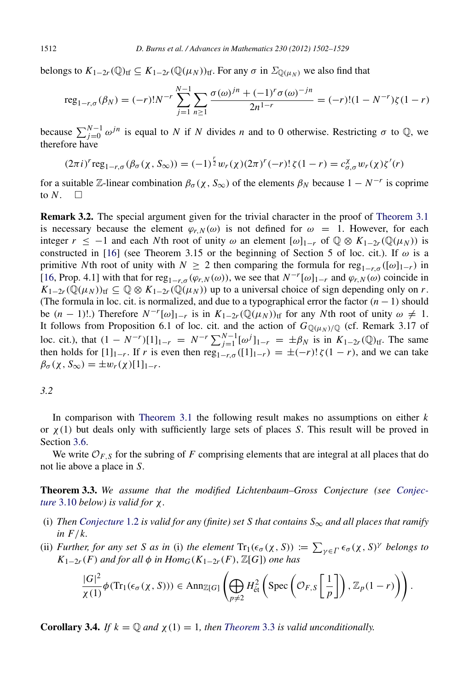belongs to  $K_{1-2r}(\mathbb{Q})_{\text{tf}} \subseteq K_{1-2r}(\mathbb{Q}(\mu_N))_{\text{tf}}$ . For any  $\sigma$  in  $\Sigma_{\mathbb{Q}(\mu_N)}$  we also find that

$$
reg_{1-r,\sigma}(\beta_N) = (-r)!N^{-r} \sum_{j=1}^{N-1} \sum_{n \ge 1} \frac{\sigma(\omega)^{jn} + (-1)^r \sigma(\omega)^{-jn}}{2n^{1-r}} = (-r)!(1 - N^{-r})\zeta(1-r)
$$

because  $\sum_{j=0}^{N-1} \omega^{jn}$  is equal to *N* if *N* divides *n* and to 0 otherwise. Restricting  $\sigma$  to  $\mathbb{Q}$ , we therefore have

$$
(2\pi i)^r \operatorname{reg}_{1-r,\sigma}(\beta_{\sigma}(\chi, S_{\infty})) = (-1)^{\frac{r}{2}} w_r(\chi)(2\pi)^r(-r) \operatorname{!} \zeta(1-r) = c_{\sigma,\sigma}^{\chi} w_r(\chi) \zeta'(r)
$$

for a suitable  $\mathbb{Z}$ -linear combination  $\beta_{\sigma}(\chi, S_{\infty})$  of the elements  $\beta_N$  because  $1 - N^{-r}$  is coprime to  $N$ .  $\Box$ 

Remark 3.2. The special argument given for the trivial character in the proof of [Theorem 3.1](#page-8-0) is necessary because the element  $\varphi_{r,N}(\omega)$  is not defined for  $\omega = 1$ . However, for each integer  $r \le -1$  and each *N*th root of unity  $\omega$  an element  $[\omega]_{1-r}$  of  $\mathbb{Q} \otimes K_{1-2r}(\mathbb{Q}(\mu_N))$  is constructed in [\[16\]](#page-27-13) (see Theorem 3.15 or the beginning of Section 5 of loc. cit.). If  $\omega$  is a primitive *N*th root of unity with  $N \ge 2$  then comparing the formula for reg<sub>1−*r*</sub>,σ ([ω]<sub>1−*r*</sub>) in [\[16,](#page-27-13) Prop. 4.1] with that for reg<sub>1−*r*, $\sigma$ </sub>( $\varphi$ *r*, $N$ ( $\omega$ )), we see that  $N^{-r}[\omega]_{1-r}$  and  $\varphi$ *r*, $N$ ( $\omega$ ) coincide in  $K_{1-2r}(\mathbb{Q}(\mu_N))_{\text{tf}} \subseteq \mathbb{Q} \otimes K_{1-2r}(\mathbb{Q}(\mu_N))$  up to a universal choice of sign depending only on *r*. (The formula in loc. cit. is normalized, and due to a typographical error the factor (*n* − 1) should be  $(n-1)!$ .) Therefore  $N^{-r}[\omega]_{1-r}$  is in  $K_{1-2r}(\mathbb{Q}(\mu_N))_{\text{tf}}$  for any *N*th root of unity  $\omega \neq 1$ . It follows from Proposition 6.1 of loc. cit. and the action of  $G_{\mathbb{Q}(\mu_N)/\mathbb{Q}}$  (cf. Remark 3.17 of loc. cit.), that  $(1 - N^{-r})[1]_{1-r} = N^{-r} \sum_{j=1}^{N-1} [\omega^j]_{1-r} = \pm \beta_N$  is in  $K_{1-2r}(\mathbb{Q})_{\text{tf}}$ . The same then holds for  $[1]_{1-r}$ . If *r* is even then reg<sub>1−*r*,σ</sub>  $([1]_{1-r}) = \pm (-r)! \zeta(1-r)$ , and we can take  $\beta_{\sigma}(\chi, S_{\infty}) = \pm w_r(\chi)[1]_{1-r}.$ 

## *3.2*

In comparison with [Theorem 3.1](#page-8-0) the following result makes no assumptions on either *k* or  $\chi(1)$  but deals only with sufficiently large sets of places *S*. This result will be proved in Section [3.6.](#page-17-0)

We write  $\mathcal{O}_{F,S}$  for the subring of F comprising elements that are integral at all places that do not lie above a place in *S*.

<span id="page-10-0"></span>[T](#page-15-0)heorem 3.3. *We assume that the modified Lichtenbaum–Gross Conjecture (see [Conjec](#page-15-0)ture* [3.10](#page-15-0) *below) is valid for* χ*.*

- (i) *Then* [Conjecture](#page-2-0) 1.2 is valid for any (finite) set S that contains  $S_{\infty}$  and all places that ramify *in F*/*k.*
- (ii) *Further, for any set S as in* (i) *the element*  $Tr_1(\epsilon_{\sigma}(\chi, S)) := \sum_{\gamma \in \Gamma} \epsilon_{\sigma}(\chi, S)^{\gamma}$  *belongs to K*<sub>1−2*r*</sub>(*F*) *and for all*  $\phi$  *in Hom*<sub>*G*</sub>(*K*<sub>1−2*r*</sub>(*F*),  $\mathbb{Z}[G]$ ) *one has*

<span id="page-10-1"></span>
$$
\frac{|G|^2}{\chi(1)}\phi(\mathrm{Tr}_1(\epsilon_\sigma(\chi, S))) \in \mathrm{Ann}_{\mathbb{Z}[G]}\left(\bigoplus_{p\neq 2} H_{\text{\'et}}^2\left(\mathrm{Spec}\left(\mathcal{O}_{F,S}\left[\frac{1}{p}\right]\right), \mathbb{Z}_p(1-r)\right)\right).
$$

**Corollary 3.4.** *If*  $k = \mathbb{Q}$  and  $\chi(1) = 1$ , then [Theorem](#page-10-0) 3.3 is valid unconditionally.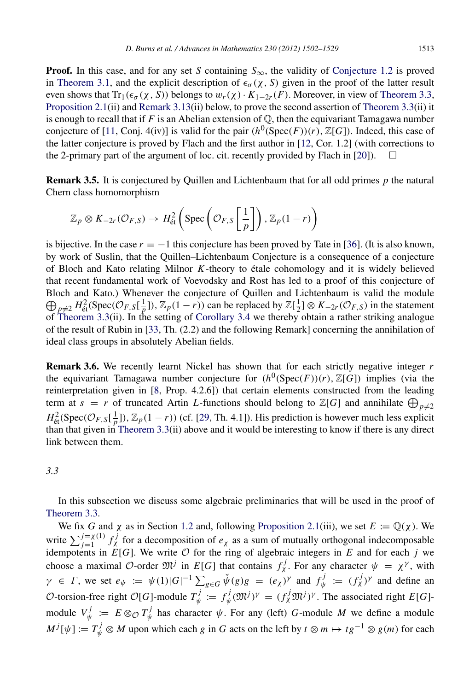**Proof.** In this case, and for any set *S* containing  $S_{\infty}$ , the validity of [Conjecture 1.2](#page-2-0) is proved in [Theorem 3.1,](#page-8-0) and the explicit description of  $\epsilon_{\sigma}(x, S)$  given in the proof of the latter result even shows that  $Tr_1(\epsilon_{\sigma}(\chi, S))$  belongs to  $w_r(\chi) \cdot K_{1-2r}(F)$ . Moreover, in view of [Theorem 3.3,](#page-10-0) [Proposition 2.1\(](#page-4-0)ii) and [Remark 3.13\(](#page-15-1)ii) below, to prove the second assertion of [Theorem 3.3\(](#page-10-0)ii) it is enough to recall that if  $F$  is an Abelian extension of  $\mathbb{Q}$ , then the equivariant Tamagawa number conjecture of [\[11,](#page-27-14) Conj. 4(iv)] is valid for the pair  $(h^0(Spec(F))(r)$ ,  $\mathbb{Z}[G])$ . Indeed, this case of the latter conjecture is proved by Flach and the first author in [\[12,](#page-27-15) Cor. 1.2] (with corrections to the 2-primary part of the argument of loc. cit. recently provided by Flach in [\[20\]](#page-27-16)).

Remark 3.5. It is conjectured by Quillen and Lichtenbaum that for all odd primes *p* the natural Chern class homomorphism

<span id="page-11-0"></span>
$$
\mathbb{Z}_p \otimes K_{-2r}(\mathcal{O}_{F,S}) \to H^2_{\text{\'et}}\left(\text{Spec}\left(\mathcal{O}_{F,S}\left[\frac{1}{p}\right]\right), \mathbb{Z}_p(1-r)\right)
$$

is bijective. In the case  $r = -1$  this conjecture has been proved by Tate in [\[36\]](#page-27-17). (It is also known, by work of Suslin, that the Quillen–Lichtenbaum Conjecture is a consequence of a conjecture of Bloch and Kato relating Milnor *K*-theory to etale cohomology and it is widely believed ´ that recent fundamental work of Voevodsky and Rost has led to a proof of this conjecture of Bloch and Kato.) Whenever the conjecture of Quillen and Lichtenbaum is valid the module  $\bigoplus_{p\neq 2} H_{\text{\'et}}^2(\text{Spec}(\mathcal{O}_{F,S}[\frac{1}{p}]), \mathbb{Z}_p(1-r))$  can be replaced by  $\mathbb{Z}[\frac{1}{2}] \otimes K_{-2r}(\mathcal{O}_{F,S})$  in the statement of [Theorem 3.3\(](#page-10-0)ii). In the setting of [Corollary 3.4](#page-10-1) we thereby obtain a rather striking analogue of the result of Rubin in [\[33,](#page-27-18) Th. (2.2) and the following Remark] concerning the annihilation of ideal class groups in absolutely Abelian fields.

Remark 3.6. We recently learnt Nickel has shown that for each strictly negative integer *r* the equivariant Tamagawa number conjecture for  $(h^0(Spec(F))(r), \mathbb{Z}[G])$  implies (via the reinterpretation given in [\[8,](#page-27-4) Prop. 4.2.6]) that certain elements constructed from the leading term at  $s = r$  of truncated Artin *L*-functions should belong to  $\mathbb{Z}[G]$  and annihilate  $\bigoplus_{p\neq 2}$  $H^2_{\text{\'et}}(\text{Spec}(\mathcal{O}_{F,S}[\frac{1}{p}]), \mathbb{Z}_p(1-r))$  (cf. [\[29,](#page-27-3) Th. 4.1]). His prediction is however much less explicit than that given in [Theorem 3.3\(](#page-10-0)ii) above and it would be interesting to know if there is any direct link between them.

*3.3*

In this subsection we discuss some algebraic preliminaries that will be used in the proof of [Theorem 3.3.](#page-10-0)

We fix *G* and  $\chi$  as in Section [1.2](#page-2-2) and, following [Proposition 2.1\(](#page-4-0)iii), we set  $E := \mathbb{Q}(\chi)$ . We write  $\sum_{j=1}^{j=\chi(1)} f_{\chi}^j$  for a decomposition of  $e_{\chi}$  as a sum of mutually orthogonal indecomposable idempotents in  $E[G]$ . We write  $\mathcal O$  for the ring of algebraic integers in  $E$  and for each  $j$  we choose a maximal  $\mathcal{O}$ -order  $\mathfrak{M}^j$  in  $E[G]$  that contains  $f^j_\chi$ . For any character  $\psi = \chi^\gamma$ , with  $\gamma \in \Gamma$ , we set  $e_{\psi} := \psi(1) |G|^{-1} \sum_{g \in G} \check{\psi}(g) g = (e_{\chi})^{\gamma}$  and  $f_{\psi}^{j}$  $\psi^{j} := (f^{j}_{\chi})^{\gamma}$  and define an O-torsion-free right  $\mathcal{O}[G]$ -module  $T_{\psi}^{j}$  $\psi^j := f^j_{\psi}$  $\psi_{\psi}^{j}(\mathfrak{M}^{j})^{\gamma} = (f_{\chi}^{j} \mathfrak{M}^{j})^{\gamma}$ . The associated right *E*[*G*]module  $V_{\nu}^{j}$  $\psi^j := E \otimes_{\mathcal{O}} T^j_{\psi}$  $\psi^{\prime}$  has character  $\psi$ . For any (left) *G*-module *M* we define a module  $M^{j}[\psi] := T^{j}_{\psi} \otimes M$  upon which each *g* in *G* acts on the left by  $t \otimes m \mapsto tg^{-1} \otimes g(m)$  for each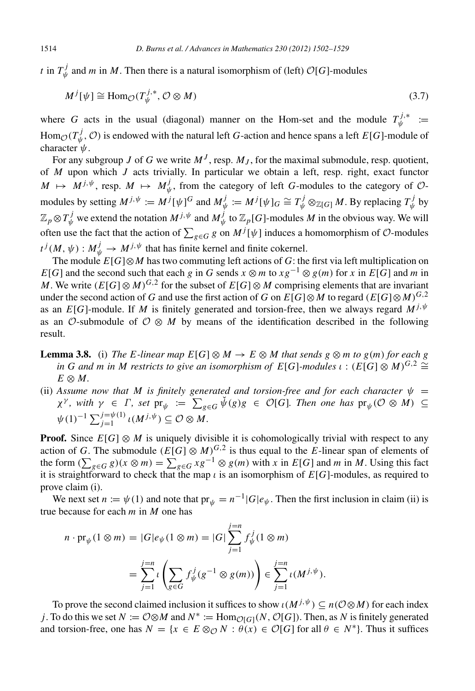*t* in  $T_{\psi}^{j}$  $\psi^J_{\psi}$  and *m* in *M*. Then there is a natural isomorphism of (left)  $\mathcal{O}[G]$ -modules

<span id="page-12-0"></span>
$$
M^{j}[\psi] \cong \text{Hom}_{\mathcal{O}}(T_{\psi}^{j,*}, \mathcal{O} \otimes M) \tag{3.7}
$$

where *G* acts in the usual (diagonal) manner on the Hom-set and the module  $T_{\psi}^{j,*}$ <sup>. *]*,\*</sup> :=  $\text{Hom}_{\mathcal{O}}(T^j_\psi)$  $\psi^{\prime}$ ,  $\mathcal{O}$ ) is endowed with the natural left *G*-action and hence spans a left *E*[*G*]-module of character  $\psi$ .

For any subgroup *J* of *G* we write  $M^J$ , resp.  $M_J$ , for the maximal submodule, resp. quotient, of *M* upon which *J* acts trivially. In particular we obtain a left, resp. right, exact functor  $M \mapsto M^{j, \psi}$ , resp.  $M \mapsto M_{\psi}^{j}$  $\psi$ , from the category of left *G*-modules to the category of  $\mathcal{O}$ modules by setting  $M^{j, \psi} := M^j[\psi]$ <sup>G</sup> and  $M^j_{\psi}$  $\psi^{j}_{\psi} \coloneqq M^{j}[\psi]_{G} \cong T^{j}_{\psi}\otimes_{\mathbb{Z}[G]} M.$  By replacing  $T^{j}_{\psi}$  $\psi^{\prime}$  by  $\mathbb{Z}_p \otimes T^j_{\psi}$  we extend the notation  $M^{j,\psi}$  and  $M^j_{\psi}$  $\psi_{\psi}^{j}$  to  $\mathbb{Z}_{p}[G]$ -modules *M* in the obvious way. We will often use the fact that the action of  $\sum_{g \in G} g$  on  $M^j[\psi]$  induces a homomorphism of  $\mathcal O$ -modules  $t^j(M, \psi)$  :  $M_{\psi}^j \rightarrow M^{j, \psi}$  that has finite kernel and finite cokernel.

The module  $E[G] \otimes M$  has two commuting left actions of *G*: the first via left multiplication on *E*[*G*] and the second such that each *g* in *G* sends  $x \otimes m$  to  $xg^{-1} \otimes g(m)$  for  $x$  in *E*[*G*] and  $m$  in *M*. We write  $(E[G] \otimes M)^{G,2}$  for the subset of  $E[G] \otimes M$  comprising elements that are invariant under the second action of *G* and use the first action of *G* on  $E[G]\otimes M$  to regard ( $E[G]\otimes M)^{G,2}$ as an *E*[*G*]-module. If *M* is finitely generated and torsion-free, then we always regard  $M^{j,\psi}$ as an  $\mathcal{O}$ -submodule of  $\mathcal{O} \otimes M$  by means of the identification described in the following result.

<span id="page-12-1"></span>**Lemma 3.8.** (i) *The E-linear map*  $E[G] \otimes M \to E \otimes M$  *that sends*  $g \otimes m$  *to*  $g(m)$  *for each*  $g$ *in G and m in M restricts to give an isomorphism of E*[*G*]-modules  $\iota : (E[G] \otimes M)^{G,2} \cong$  $E \otimes M$ .

(ii) Assume now that M is finitely generated and torsion-free and for each character  $\psi =$  $\chi^{\gamma}$ , with  $\gamma \in \Gamma$ , set  $\mathrm{pr}_{\psi} := \sum_{g \in G} \check{\psi}(g)g \in \mathcal{O}[G]$ . Then one has  $\mathrm{pr}_{\psi}(\mathcal{O} \otimes M) \subseteq$  $\psi(1)^{-1} \sum_{j=1}^{j=\psi(1)} \iota(M^{j,\psi}) \subseteq \mathcal{O} \otimes M.$ 

**Proof.** Since  $E[G] \otimes M$  is uniquely divisible it is cohomologically trivial with respect to any action of *G*. The submodule  $(E[G] \otimes M)^{G,2}$  is thus equal to the *E*-linear span of elements of the form  $(\sum_{g \in G} g)(x \otimes m) = \sum_{g \in G} xg^{-1} \otimes g(m)$  with *x* in *E*[*G*] and *m* in *M*. Using this fact it is straightforward to check that the map  $\iota$  is an isomorphism of  $E[G]$ -modules, as required to prove claim (i).

We next set  $n := \psi(1)$  and note that  $pr_{\psi} = n^{-1} |G| e_{\psi}$ . Then the first inclusion in claim (ii) is true because for each *m* in *M* one has

$$
n \cdot \text{pr}_{\psi}(1 \otimes m) = |G|e_{\psi}(1 \otimes m) = |G| \sum_{j=1}^{j=n} f_{\psi}^{j}(1 \otimes m)
$$
  
= 
$$
\sum_{j=1}^{j=n} \iota \left( \sum_{g \in G} f_{\psi}^{j}(g^{-1} \otimes g(m)) \right) \in \sum_{j=1}^{j=n} \iota(M^{j,\psi}).
$$

To prove the second claimed inclusion it suffices to show  $\iota(M^{j,\psi}) \subseteq n(\mathcal{O}\otimes M)$  for each index *j*. To do this we set  $N := \mathcal{O} \otimes M$  and  $N^* := \text{Hom}_{\mathcal{O}[G]}(N, \mathcal{O}[G])$ . Then, as *N* is finitely generated and torsion-free, one has  $N = \{x \in E \otimes_{\mathcal{O}} N : \theta(x) \in \mathcal{O}[G] \text{ for all } \theta \in N^*\}.$  Thus it suffices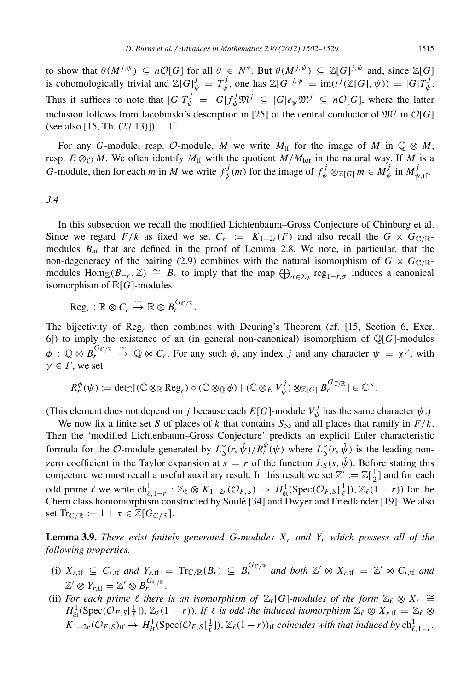to show that  $\theta(M^{j,\psi}) \subseteq n\mathcal{O}[G]$  for all  $\theta \in N^*$ . But  $\theta(M^{j,\psi}) \subseteq \mathbb{Z}[G]^{j,\psi}$  and, since  $\mathbb{Z}[G]$ is cohomologically trivial and  $\mathbb{Z}[G]_{\psi}^{j} = T_{\psi}^{j}$  $\psi^j_{\psi}$ , one has  $\mathbb{Z}[G]^{j, \psi} = \text{im}(t^j(\mathbb{Z}[G], \psi)) = |G|T^j_{\psi}$ ψ . Thus it suffices to note that  $|G|T_{\psi}^j = |G|f_{\psi}^j \mathfrak{M}^j \subseteq |G|e_{\psi} \mathfrak{M}^j \subseteq n\mathcal{O}[G]$ , where the latter inclusion follows from Jacobinski's description in [\[25\]](#page-27-19) of the central conductor of  $\mathfrak{M}^j$  in  $\mathcal{O}[G]$ (see also [\[15,](#page-27-20) Th.  $(27.13)$ ]).  $\Box$ 

For any *G*-module, resp. O-module, *M* we write  $M_{\text{tf}}$  for the image of *M* in  $\mathbb{Q} \otimes M$ , resp.  $E \otimes_{\mathcal{O}} M$ . We often identify  $M_{\text{tf}}$  with the quotient  $M/M_{\text{tor}}$  in the natural way. If M is a *G*-module, then for each *m* in *M* we write  $f^j_{\psi}$  $w_{\psi}^{j}(m)$  for the image of  $f_{\psi}^{j} \otimes_{\mathbb{Z}[G]} m \in M_{\psi}^{j}$  $\psi$ <sup>*j*</sup> in  $M_{\psi, \text{tf}}^j$ .

## *3.4*

In this subsection we recall the modified Lichtenbaum–Gross Conjecture of Chinburg et al. Since we regard  $F/k$  as fixed we set  $C_r := K_{1-2r}(F)$  and also recall the  $G \times G_{\mathbb{C}/\mathbb{R}}$ modules  $B_m$  that are defined in the proof of [Lemma 2.8.](#page-7-1) We note, in particular, that the non-degeneracy of the pairing [\(2.9\)](#page-7-0) combines with the natural isomorphism of  $G \times G_{\mathbb{C}/\mathbb{R}}$ modules  $\text{Hom}_{\mathbb{Z}}(B_{-r}, \mathbb{Z}) \cong B_r$  to imply that the map  $\bigoplus_{\sigma \in \Sigma_F} \text{reg}_{1-r,\sigma}$  induces a canonical isomorphism of R[*G*]-modules

$$
\mathrm{Reg}_r : \mathbb{R} \otimes C_r \xrightarrow{\sim} \mathbb{R} \otimes B_r^{G_{\mathbb{C}/\mathbb{R}}}.
$$

The bijectivity of Reg*<sup>r</sup>* then combines with Deuring's Theorem (cf. [\[15,](#page-27-20) Section 6, Exer. 6]) to imply the existence of an (in general non-canonical) isomorphism of  $\mathbb{Q}[G]$ -modules  $\phi\,:\,\mathbb{Q}\otimes B^{G_{\mathbb{C}/\mathbb{R}}}_r$  $\stackrel{\sim}{\to}$  Q  $\otimes$  *C<sub>r</sub>*. For any such  $\phi$ , any index *j* and any character  $\psi = \chi^{\gamma}$ , with  $\gamma \in \Gamma$ , we set

$$
R_r^{\phi}(\psi) := \det_{\mathbb{C}}[(\mathbb{C} \otimes_{\mathbb{R}} \text{Reg}_r) \circ (\mathbb{C} \otimes_{\mathbb{Q}} \phi) \mid (\mathbb{C} \otimes_E V_{\psi}^j) \otimes_{\mathbb{Z}[G]} B_r^{G_{\mathbb{C}/\mathbb{R}}}] \in \mathbb{C}^{\times}.
$$

(This element does not depend on *j* because each  $E[G]$ -module  $V_{\psi}^j$  $\psi_{\psi}^{\prime}$  has the same character  $\psi$ .)

We now fix a finite set *S* of places of *k* that contains  $S_{\infty}$  and all places that ramify in  $F/k$ . Then the 'modified Lichtenbaum–Gross Conjecture' predicts an explicit Euler characteristic formula for the O-module generated by  $L_S^*(r, \check{\psi})/R_r^{\phi}(\psi)$  where  $L_S^*(r, \check{\psi})$  is the leading nonzero coefficient in the Taylor expansion at  $s = r$  of the function  $L_S(s, \psi)$ . Before stating this conjecture we must recall a useful auxiliary result. In this result we set  $\mathbb{Z}' := \mathbb{Z}[\frac{1}{2}]$  and for each odd prime  $\ell$  we write  $\mathrm{ch}^1_{\ell, 1-r}$ :  $\mathbb{Z}_{\ell} \otimes K_{1-2r}(\mathcal{O}_{F,S}) \to H^1_{\text{\'et}}(\mathrm{Spec}(\mathcal{O}_{F,S}[\frac{1}{\ell}]), \mathbb{Z}_{\ell}(1-r))$  for the Chern class homomorphism constructed by Soulé [[34\]](#page-27-21) and Dwyer and Friedlander [\[19\]](#page-27-22). We also set  $\text{Tr}_{\mathbb{C}/\mathbb{R}} := 1 + \tau \in \mathbb{Z}[G_{\mathbb{C}/\mathbb{R}}].$ 

<span id="page-13-0"></span>Lemma 3.9. *There exist finitely generated G-modules X<sup>r</sup> and Y<sup>r</sup> which possess all of the following properties.*

- (i)  $X_{r,tf} \subseteq C_{r,tf}$  and  $Y_{r,tf} = \text{Tr}_{\mathbb{C}/\mathbb{R}}(B_r) \subseteq B_r^{G_{\mathbb{C}/\mathbb{R}}}$  and both  $\mathbb{Z}' \otimes X_{r,tf} = \mathbb{Z}' \otimes C_{r,tf}$  and  $\mathbb{Z}' \otimes Y_{r, \text{tf}} = \mathbb{Z}' \otimes B_r^{G_{\mathbb{C}/\mathbb{R}}}.$
- (ii) For each prime  $\ell$  there is an isomorphism of  $\mathbb{Z}_{\ell}[G]$ -modules of the form  $\mathbb{Z}_{\ell} \otimes X_r \cong$  $H^1_{\text{\'et}}(\text{Spec}(\mathcal{O}_{F,S}[\frac{1}{\ell}]), \mathbb{Z}_{\ell}(1-r))$ . If  $\ell$  is odd the induced isomorphism  $\mathbb{Z}_{\ell} \otimes X_{r,\text{tf}} = \mathbb{Z}_{\ell} \otimes X_{r,\text{tf}}$  $K_{1-2r}(\mathcal{O}_{F,S})_{\text{tf}} \to H^1_{\text{\'et}}(\text{Spec}(\mathcal{O}_{F,S}[\frac{1}{\ell}]), \mathbb{Z}_{\ell}(1-r))_{\text{tf}}$  *coincides with that induced by*  $\text{ch}^1_{\ell,1-r}$ *.*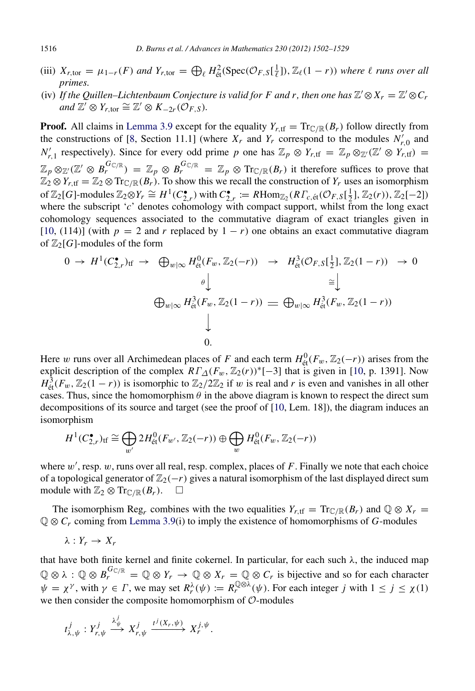- (iii)  $X_{r,\text{tor}} = \mu_{1-r}(F)$  and  $Y_{r,\text{tor}} = \bigoplus_{\ell} H_{\text{\'et}}^2(\text{Spec}(\mathcal{O}_{F,S}[\frac{1}{\ell}]), \mathbb{Z}_{\ell}(1-r))$  where  $\ell$  runs over all *primes.*
- (iv) If the Quillen–Lichtenbaum Conjecture is valid for F and r, then one has  $\mathbb{Z}' \otimes X_r = \mathbb{Z}' \otimes C_r$  $\overline{C}$  and  $\overline{\mathbb{Z}}' \otimes Y_{r,\text{tor}} \cong \mathbb{Z}' \otimes K_{-2r}(\mathcal{O}_{F,S}).$

**Proof.** All claims in [Lemma 3.9](#page-13-0) except for the equality  $Y_{r,tf} = \text{Tr}_{\mathbb{C}/\mathbb{R}}(B_r)$  follow directly from the constructions of [\[8,](#page-27-4) Section 11.1] (where  $X_r$  and  $Y_r$  correspond to the modules  $N'_{r,0}$  and *N*<sup>*r*</sup>, 1 respectively). Since for every odd prime *p* one has  $\mathbb{Z}_p \otimes Y_{r, \text{tf}} = \mathbb{Z}_p \otimes_{\mathbb{Z}} (\mathbb{Z}' \otimes Y_{r, \text{tf}}) =$  $\mathbb{Z}_p \otimes_{\mathbb{Z}} (\mathbb{Z}' \otimes B_r^{\mathcal{G}_{\mathbb{C}/\mathbb{R}}}) = \mathbb{Z}_p \otimes B_r^{\mathcal{G}_{\mathbb{C}/\mathbb{R}}} = \mathbb{Z}_p \otimes \text{Tr}_{\mathbb{C}/\mathbb{R}}(B_r)$  it therefore suffices to prove that  $\mathbb{Z}_2 \otimes Y_{r, \text{tf}} = \mathbb{Z}_2 \otimes \text{Tr}_{\mathbb{C}/\mathbb{R}}(B_r)$ . To show this we recall the construction of  $Y_r$  uses an isomorphism of  $\mathbb{Z}_2[G]$ -modules  $\mathbb{Z}_2 \otimes Y_r \cong H^1(C_{2,r}^{\bullet})$  with  $C_{2,r}^{\bullet} := R\text{Hom}_{\mathbb{Z}_2}(R\Gamma_{c, \text{\'et}}(\mathcal{O}_{F, S}[\frac{1}{2}], \mathbb{Z}_2(r)), \mathbb{Z}_2[-2])$ where the subscript '*c*' denotes cohomology with compact support, whilst from the long exact cohomology sequences associated to the commutative diagram of exact triangles given in [\[10,](#page-27-23) (114)] (with  $p = 2$  and *r* replaced by  $1 - r$ ) one obtains an exact commutative diagram of  $\mathbb{Z}_2[G]$ -modules of the form

$$
0 \to H^1(C_{2,r}^{\bullet})_{\text{tf}} \to \bigoplus_{w|\infty} H^0_{\text{\'et}}(F_w, \mathbb{Z}_2(-r)) \to H^3_{\text{\'et}}(\mathcal{O}_{F,S}[\frac{1}{2}], \mathbb{Z}_2(1-r)) \to 0
$$
  
\n
$$
\oplus \downarrow \qquad \oplus \downarrow \qquad \qquad \cong \downarrow
$$
  
\n
$$
\oplus_{w|\infty} H^3_{\text{\'et}}(F_w, \mathbb{Z}_2(1-r)) \to \oplus_{w|\infty} H^3_{\text{\'et}}(F_w, \mathbb{Z}_2(1-r))
$$
  
\n
$$
\downarrow
$$
  
\n0.

Here w runs over all Archimedean places of *F* and each term  $H_{\text{et}}^{0}(F_{w}, \mathbb{Z}_{2}(-r))$  arises from the explicit description of the complex  $RT_{\Delta}(F_w, \mathbb{Z}_2(r))^*[-3]$  that is given in [\[10,](#page-27-23) p. 1391]. Now  $H^3_{\text{\'et}}(F_w, \mathbb{Z}_2(1-r))$  is isomorphic to  $\mathbb{Z}_2/2\mathbb{Z}_2$  if w is real and *r* is even and vanishes in all other cases. Thus, since the homomorphism  $\theta$  in the above diagram is known to respect the direct sum decompositions of its source and target (see the proof of [\[10,](#page-27-23) Lem. 18]), the diagram induces an isomorphism

$$
H^1(C_{2,r}^{\bullet})_{\text{tf}} \cong \bigoplus_{w'} 2H_{\text{\'et}}^0(F_{w'}, \mathbb{Z}_2(-r)) \oplus \bigoplus_{w} H_{\text{\'et}}^0(F_w, \mathbb{Z}_2(-r))
$$

where  $w'$ , resp.  $w$ , runs over all real, resp. complex, places of  $F$ . Finally we note that each choice of a topological generator of  $\mathbb{Z}_2(-r)$  gives a natural isomorphism of the last displayed direct sum module with  $\mathbb{Z}_2 \otimes \text{Tr}_{\mathbb{C}/\mathbb{R}}(B_r)$ .  $\square$ 

The isomorphism Reg<sub>*r*</sub> combines with the two equalities  $Y_{r, t_f} = \text{Tr}_{\mathbb{C}/\mathbb{R}}(B_r)$  and  $\mathbb{Q} \otimes X_r =$ Q ⊗ *C<sup>r</sup>* coming from [Lemma 3.9\(](#page-13-0)i) to imply the existence of homomorphisms of *G*-modules

$$
\lambda:Y_r\to X_r
$$

that have both finite kernel and finite cokernel. In particular, for each such  $\lambda$ , the induced map  $\mathbb{Q} \otimes \lambda : \mathbb{Q} \otimes B_r^{G_{\mathbb{C}/\mathbb{R}}} = \mathbb{Q} \otimes Y_r \to \mathbb{Q} \otimes X_r = \mathbb{Q} \otimes C_r$  is bijective and so for each character  $\psi = \chi^{\gamma}$ , with  $\gamma \in \Gamma$ , we may set  $R_r^{\lambda}(\psi) := R_r^{\mathbb{Q} \otimes \lambda}(\psi)$ . For each integer *j* with  $1 \le j \le \chi(1)$ we then consider the composite homomorphism of  $\mathcal{O}$ -modules

$$
t^j_{\lambda,\psi}: Y^j_{r,\psi} \stackrel{\lambda^j_{\psi}}{\longrightarrow} X^j_{r,\psi} \stackrel{t^j(X_r,\psi)}{\longrightarrow} X^{j,\psi}_r.
$$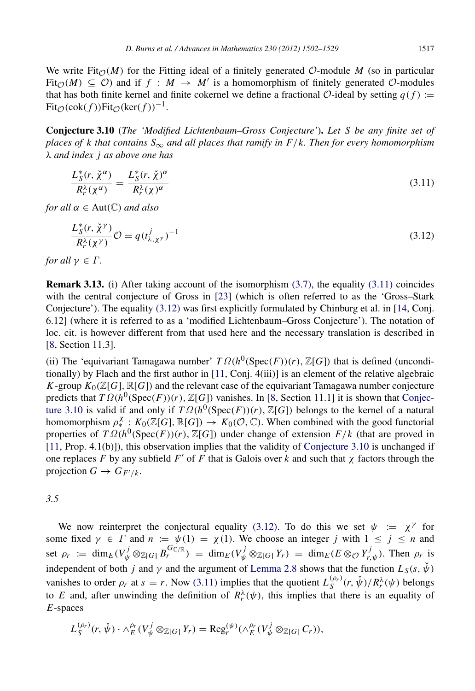We write Fit $\mathcal{O}(M)$  for the Fitting ideal of a finitely generated O-module M (so in particular Fit<sub> $\mathcal{O}(M) \subseteq \mathcal{O}$ ) and if  $f : M \to M'$  is a homomorphism of finitely generated  $\mathcal{O}$ -modules</sub> that has both finite kernel and finite cokernel we define a fractional  $\mathcal{O}$ -ideal by setting  $q(f)$  :=  $Fit_{\mathcal{O}}(cok(f))Fit_{\mathcal{O}}(ker(f))^{-1}.$ 

Conjecture 3.10 (*The 'Modified Lichtenbaum–Gross Conjecture'*). *Let S be any finite set of places of k that contains*  $S_{\infty}$  *and all places that ramify in F/k. Then for every homomorphism* λ *and index j as above one has*

<span id="page-15-2"></span><span id="page-15-0"></span>
$$
\frac{L_S^*(r, \check{\chi}^\alpha)}{R_r^\lambda(\chi^\alpha)} = \frac{L_S^*(r, \check{\chi})^\alpha}{R_r^\lambda(\chi)^\alpha}
$$
(3.11)

*for all*  $\alpha \in Aut(\mathbb{C})$  *and also* 

<span id="page-15-3"></span>
$$
\frac{L_S^*(r, \check{\chi}^\gamma)}{R_r^\lambda(\chi^\gamma)} \mathcal{O} = q(t_{\lambda, \chi^\gamma}^j)^{-1}
$$
\n(3.12)

*for all*  $\gamma \in \Gamma$ *.* 

<span id="page-15-1"></span>Remark 3.13. (i) After taking account of the isomorphism [\(3.7\),](#page-12-0) the equality [\(3.11\)](#page-15-2) coincides with the central conjecture of Gross in [\[23\]](#page-27-0) (which is often referred to as the 'Gross–Stark Conjecture'). The equality [\(3.12\)](#page-15-3) was first explicitly formulated by Chinburg et al. in [\[14,](#page-27-2) Conj. 6.12] (where it is referred to as a 'modified Lichtenbaum–Gross Conjecture'). The notation of loc. cit. is however different from that used here and the necessary translation is described in [\[8,](#page-27-4) Section 11.3].

(ii) The 'equivariant Tamagawa number'  $T \Omega(h^0(\text{Spec}(F))(r)$ ,  $\mathbb{Z}[G])$  that is defined (unconditionally) by Flach and the first author in [\[11,](#page-27-14) Conj. 4(iii)] is an element of the relative algebraic *K*-group  $K_0(\mathbb{Z}[G], \mathbb{R}[G])$  and the relevant case of the equivariant Tamagawa number conjecture [p](#page-15-0)redicts that  $T \Omega(h^0(\text{Spec}(F))(r), \mathbb{Z}[G])$  vanishes. In [\[8,](#page-27-4) Section 11.1] it is shown that [Conjec](#page-15-0)[ture 3.10](#page-15-0) is valid if and only if  $T \Omega(h^0(\text{Spec}(F))(r)$ ,  $\mathbb{Z}[G])$  belongs to the kernel of a natural homomorphism  $\rho^{\chi}_*$ :  $K_0(\mathbb{Z}[G], \mathbb{R}[G]) \to K_0(\mathcal{O}, \mathbb{C})$ . When combined with the good functorial properties of  $T \Omega(h^0(\text{Spec}(F))(r), \mathbb{Z}[G])$  under change of extension  $F/k$  (that are proved in [\[11,](#page-27-14) Prop. 4.1(b)]), this observation implies that the validity of [Conjecture 3.10](#page-15-0) is unchanged if one replaces *F* by any subfield *F'* of *F* that is Galois over *k* and such that  $χ$  factors through the projection  $G \to G_{F'/k}$ .

*3.5*

We now reinterpret the conjectural equality [\(3.12\).](#page-15-3) To do this we set  $\psi := \chi^{\gamma}$  for some fixed  $\gamma \in \Gamma$  and  $n := \psi(1) = \chi(1)$ . We choose an integer *j* with  $1 \le j \le n$  and set  $\rho_r := \dim_E(V^j_{\psi} \otimes_{\mathbb{Z}[G]} B_r^{\tilde{G}_{\mathbb{C}/\mathbb{R}}}) = \dim_E(V^j_{\psi} \otimes_{\mathbb{Z}[G]} Y_r) = \dim_E(E \otimes_{\mathcal{O}} Y^j_{r,\psi}).$  Then  $\rho_r$  is independent of both *j* and  $\gamma$  and the argument of [Lemma 2.8](#page-7-1) shows that the function  $L_S(s, \check{\psi})$ vanishes to order  $\rho_r$  at  $s = r$ . Now [\(3.11\)](#page-15-2) implies that the quotient  $L_S^{(\rho_r)}(r, \check{\psi})/R_r^{\lambda}(\psi)$  belongs to *E* and, after unwinding the definition of  $R_r^{\lambda}(\psi)$ , this implies that there is an equality of *E*-spaces

$$
L_S^{(\rho_r)}(r,\check{\psi})\cdot \wedge_E^{\rho_r}(V_{\psi}^j\otimes_{\mathbb{Z}[G]}Y_r)=\operatorname{Reg}_r^{(\psi)}(\wedge_E^{\rho_r}(V_{\psi}^j\otimes_{\mathbb{Z}[G]}C_r)),
$$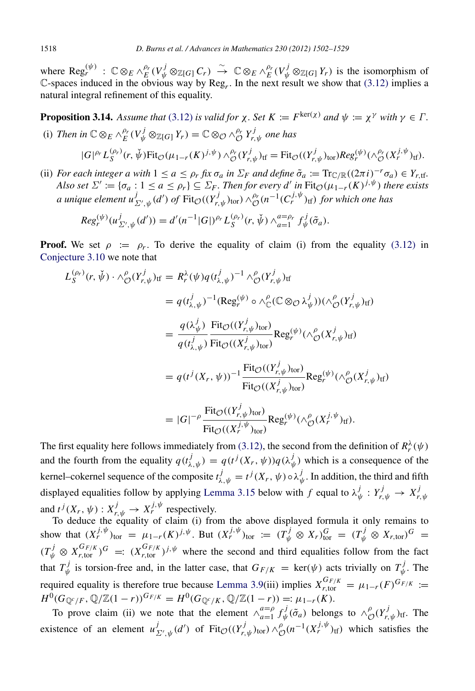where  $\text{Reg}_r^{(\psi)}$ :  $\mathbb{C} \otimes_E \wedge_E^{\rho_r}(V^j_{\psi} \otimes_{\mathbb{Z}[G]} C_r) \stackrel{\sim}{\to} \mathbb{C} \otimes_E \wedge_E^{\rho_r}(V^j_{\psi} \otimes_{\mathbb{Z}[G]} Y_r)$  is the isomorphism of C-spaces induced in the obvious way by  $\text{Reg}_r$ . In the next result we show that [\(3.12\)](#page-15-3) implies a natural integral refinement of this equality.

**Proposition 3.14.** Assume that [\(3.12\)](#page-15-3) is valid for  $\chi$ . Set  $K := F^{\text{ker}(\chi)}$  and  $\psi := \chi^{\gamma}$  with  $\gamma \in \Gamma$ .

<span id="page-16-0"></span>(i) Then in 
$$
\mathbb{C} \otimes_E \wedge_E^{\rho_r}(V^j_{\psi} \otimes_{\mathbb{Z}[G]} Y_r) = \mathbb{C} \otimes_{\mathcal{O}} \wedge_{\mathcal{O}}^{\rho_r} Y^j_{r,\psi}
$$
 one has  
 $|G|^{\rho_r} L_S^{(\rho_r)}(r, \check{\psi}) \text{Fit}_{\mathcal{O}}(\mu_{1-r}(K)^{j,\psi}) \wedge_{\mathcal{O}}^{\rho_r}(Y^j_{r,\psi})_{\text{tf}} = \text{Fit}_{\mathcal{O}}((Y^j_{r,\psi})_{\text{tor}})Reg_r^{(\psi)}(\wedge_{\mathcal{O}}^{\rho_r}(X^{j,\psi}_r)_{\text{tf}}).$ 

(ii) *For each integer a with*  $1 \le a \le \rho_r$  *fix*  $\sigma_a$  *in*  $\Sigma_F$  *and define*  $\tilde{\sigma}_a := Tr_{\mathbb{C}}/\mathbb{R}}((2\pi i)^{-r}\sigma_a) \in Y_{r,\text{tf}}$ *. Also set*  $\Sigma' := {\sigma_a : 1 \le a \le \rho_r} \subseteq \Sigma_F$ . Then for every d' in  $\text{Fit}_{\mathcal{O}}(\mu_{1-r}(K)^{j,\psi})$  there exists *a* unique element  $u^j_{\Sigma',\psi}(d')$  of  $\text{Fit}_{\mathcal{O}}((Y^j_{r,\psi})_{\text{tor}}) \wedge^{ \rho_r}_\mathcal{O}(n^{-1}(C^{j,\psi}_r)_{\text{tf}})$  for which one has

$$
Reg_r^{(\psi)}(u_{\Sigma',\psi}^j(d')) = d'(n^{-1}|G|)^{\rho_r} L_S^{(\rho_r)}(r,\check{\psi}) \wedge_{a=1}^{a=\rho_r} f_{\psi}^j(\tilde{\sigma}_a).
$$

**Proof.** We set  $\rho := \rho_r$ . To derive the equality of claim (i) from the equality [\(3.12\)](#page-15-3) in [Conjecture 3.10](#page-15-0) we note that

$$
L_{S}^{(\rho_{r})}(r, \check{\psi}) \cdot \wedge_{\mathcal{O}}^{\rho}(Y_{r,\psi}^{j})_{\mathrm{tf}} = R_{r}^{\lambda}(\psi)q(t_{\lambda,\psi}^{j})^{-1} \wedge_{\mathcal{O}}^{\rho}(Y_{r,\psi}^{j})_{\mathrm{tf}}
$$
  
\n
$$
= q(t_{\lambda,\psi}^{j})^{-1}(\mathrm{Reg}_{r}^{(\psi)} \circ \wedge_{\mathbb{C}}^{\rho}(\mathbb{C} \otimes_{\mathcal{O}} \lambda_{\psi}^{j})) (\wedge_{\mathcal{O}}^{\rho}(Y_{r,\psi}^{j})_{\mathrm{tf}})
$$
  
\n
$$
= \frac{q(\lambda_{\psi}^{j})}{q(t_{\lambda,\psi}^{j})} \frac{\mathrm{Fit}_{\mathcal{O}}((Y_{r,\psi}^{j})_{\mathrm{tor}})}{\mathrm{Fit}_{\mathcal{O}}((X_{r,\psi}^{j})_{\mathrm{tor}})} \mathrm{Reg}_{r}^{(\psi)} (\wedge_{\mathcal{O}}^{\rho}(X_{r,\psi}^{j})_{\mathrm{tf}})
$$
  
\n
$$
= q(t^{j}(X_{r}, \psi))^{-1} \frac{\mathrm{Fit}_{\mathcal{O}}((Y_{r,\psi}^{j})_{\mathrm{tor}})}{\mathrm{Fit}_{\mathcal{O}}((X_{r,\psi}^{j})_{\mathrm{tor}})} \mathrm{Reg}_{r}^{(\psi)} (\wedge_{\mathcal{O}}^{\rho}(X_{r,\psi}^{j})_{\mathrm{tf}})
$$
  
\n
$$
= |G|^{-\rho} \frac{\mathrm{Fit}_{\mathcal{O}}((Y_{r,\psi}^{j})_{\mathrm{tor}})}{\mathrm{Fit}_{\mathcal{O}}((X_{r}^{j})_{\mathrm{tor}})} \mathrm{Reg}_{r}^{(\psi)} (\wedge_{\mathcal{O}}^{\rho}(X_{r}^{j})_{\mathrm{tf}}).
$$

The first equality here follows immediately from [\(3.12\),](#page-15-3) the second from the definition of  $R_r^{\lambda}(\psi)$ and the fourth from the equality  $q(t^j_{\lambda,\psi}) = q(t^j(X_r,\psi))q(\lambda^j_{\psi})$  which is a consequence of the kernel–cokernel sequence of the composite  $t^j_{\lambda,\psi} = t^j(X_r,\psi) \circ \lambda^j_{\psi}$  $\psi$ . In addition, the third and fifth displayed equalities follow by applying [Lemma 3.15](#page-17-1) below with  $f$  equal to  $\lambda_n^j$  $\psi_i: Y^j_{r,\psi} \to X^j_r$  $r, \psi$ and  $t^j(X_r, \psi) : X^j_{r, \psi} \to X^{j, \psi}_r$  respectively.

To deduce the equality of claim (i) from the above displayed formula it only remains to show that  $(X_r^{j,\psi})_{\text{tor}} = \mu_{1-r}(K)^{j,\psi}$ . But  $(X_r^{j,\psi})_{\text{tor}} := (T_{\psi}^j \otimes X_r)_{\text{tor}}^G = (T_{\psi}^j \otimes X_{r,\text{tor}})^G =$  $(T^j_\psi \otimes X^{G_{F/K}}_{r,\text{tor}})^G$  =:  $(X^{G_{F/K}}_{r,\text{tor}})^{j,\psi}$  where the second and third equalities follow from the fact that  $T_{\psi}^j$  $v^j_{\psi}$  is torsion-free and, in the latter case, that  $G_{F/K} = \text{ker}(\psi)$  acts trivially on  $T^j_{\psi}$  $\psi'$ . The required equality is therefore true because [Lemma 3.9\(](#page-13-0)iii) implies  $X_{r,\text{tor}}^{G_{F/K}} = \mu_{1-r}(F)^{G_{F/K}} :=$  $H^0(G_{\mathbb{Q}^c/F}, \mathbb{Q}/\mathbb{Z}(1-r))^{G_{F/K}} = H^0(G_{\mathbb{Q}^c/K}, \mathbb{Q}/\mathbb{Z}(1-r)) =: \mu_{1-r}(K).$ 

To prove claim (ii) we note that the element  $\wedge_{a=1}^{a=\rho}$  $\lim_{a=1}^{a=\rho} f_{\psi}^j$  $\gamma^j_\psi(\tilde{\sigma}_a)$  belongs to  $\wedge_\mathcal{C}^\rho$  ${}^{\rho}_{\mathcal{O}}(Y^j_{r,\psi})_{\text{tf}}$ . The existence of an element  $u_{\Sigma',\psi}^j(d')$  of  $Fit_{\mathcal{O}}((Y_{r,\psi}^j)_{\text{tor}}) \wedge_{\mathcal{C}}^{\rho}$  $\int_{\mathcal{O}}^{\rho} (n^{-1} (X_r^{j,\psi})_{\text{tf}})$  which satisfies the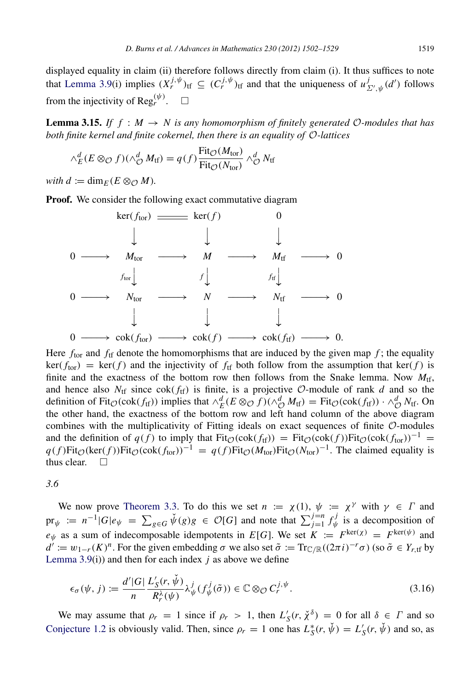displayed equality in claim (ii) therefore follows directly from claim (i). It thus suffices to note that [Lemma 3.9\(](#page-13-0)i) implies  $(X_r^{j,\psi})_{\text{tf}} \subseteq (C_r^{j,\psi})_{\text{tf}}$  and that the uniqueness of  $u_{\Sigma',\psi}^j(d')$  follows from the injectivity of Reg<sup>( $\psi$ )</sup>.  $\square$ 

**Lemma 3.15.** If  $f : M \to N$  is any homomorphism of finitely generated  $\mathcal{O}\text{-modules}$  that has *both finite kernel and finite cokernel, then there is an equality of* O*-lattices*

<span id="page-17-1"></span>
$$
\wedge_E^d (E \otimes_{\mathcal{O}} f)(\wedge_{\mathcal{O}}^d M_{\text{tf}}) = q(f) \frac{\text{Fit}_{\mathcal{O}}(M_{\text{tor}})}{\text{Fit}_{\mathcal{O}}(N_{\text{tor}})} \wedge_{\mathcal{O}}^d N_{\text{tf}}
$$

*with*  $d := \dim_F(E \otimes_{\mathcal{O}} M)$ .

**Proof.** We consider the following exact commutative diagram



Here  $f_{\text{tor}}$  and  $f_{\text{tf}}$  denote the homomorphisms that are induced by the given map  $f$ ; the equality  $ker(f_{tor}) = ker(f)$  and the injectivity of  $f_{tf}$  both follow from the assumption that  $ker(f)$  is finite and the exactness of the bottom row then follows from the Snake lemma. Now  $M_{\text{tf}}$ , and hence also  $N_{\text{tf}}$  since  $\text{cok}(f_{\text{tf}})$  is finite, is a projective O-module of rank *d* and so the definition of Fit<sub>O</sub>(cok(f<sub>tf</sub>)) implies that  $\wedge_E^d$ ( $E \otimes_{\mathcal{O}} f$ )( $\wedge_{\mathcal{O}}^d M$ <sub>tf</sub>) = Fit<sub>O</sub>(cok(f<sub>tf</sub>)) ·  $\wedge_{\mathcal{O}}^d N$ <sub>tf</sub>. On the other hand, the exactness of the bottom row and left hand column of the above diagram combines with the multiplicativity of Fitting ideals on exact sequences of finite  $\mathcal{O}$ -modules and the definition of  $q(f)$  to imply that Fit<sub> $\mathcal{O}(\text{cok}(f_{\text{tf}})) = \text{Fit}_{\mathcal{O}}(\text{cok}(f))\text{Fit}_{\mathcal{O}}(\text{cok}(f_{\text{tor}}))^{-1}$ </sub>  $q(f) \text{Fit}_{\mathcal{O}}(\text{ker}(f)) \text{Fit}_{\mathcal{O}}(\text{cok}(f_{\text{tor}}))^{-1} = q(f) \text{Fit}_{\mathcal{O}}(M_{\text{tor}}) \text{Fit}_{\mathcal{O}}(N_{\text{tor}})^{-1}$ . The claimed equality is thus clear.  $\square$ 

<span id="page-17-0"></span>*3.6*

We now prove [Theorem 3.3.](#page-10-0) To do this we set  $n := \chi(1)$ ,  $\psi := \chi^{\gamma}$  with  $\gamma \in \Gamma$  and  $pr_{\psi} := n^{-1} |G| e_{\psi} = \sum_{g \in G} \check{\psi}(g) g \in \mathcal{O}[G]$  and note that  $\sum_{j=1}^{j=n} f_{\psi}^j$  $\psi$  is a decomposition of  $e_{\psi}$  as a sum of indecomposable idempotents in *E*[*G*]. We set  $K := F^{\text{ker}(\chi)} = F^{\text{ker}(\psi)}$  and  $d' := w_{1-r}(K)^n$ . For the given embedding  $\sigma$  we also set  $\tilde{\sigma} := \text{Tr}_{\mathbb{C}/\mathbb{R}}((2\pi i)^{-r}\sigma)$  (so  $\tilde{\sigma} \in Y_{r, \text{tf}}$  by Lemma  $3.9(i)$  and then for each index *j* as above we define

<span id="page-17-2"></span>
$$
\epsilon_{\sigma}(\psi, j) := \frac{d' |G|}{n} \frac{L'_{S}(r, \check{\psi})}{R_{r}^{\lambda}(\psi)} \lambda_{\psi}^{j}(f_{\psi}^{j}(\tilde{\sigma})) \in \mathbb{C} \otimes_{\mathcal{O}} C_{r}^{j, \psi}.
$$
\n(3.16)

We may assume that  $\rho_r = 1$  since if  $\rho_r > 1$ , then  $L'_S(r, \chi^{\delta}) = 0$  for all  $\delta \in \Gamma$  and so [Conjecture 1.2](#page-2-0) is obviously valid. Then, since  $\rho_r = 1$  one has  $L_S^*(r, \check{\psi}) = L_S'(r, \check{\psi})$  and so, as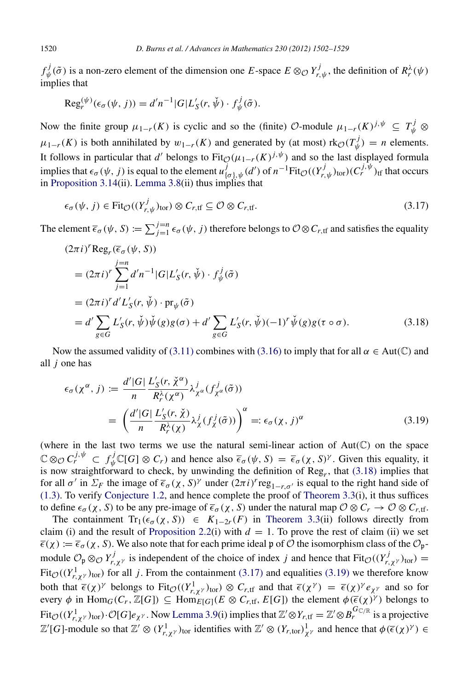*f j*  $\psi(\tilde{\sigma})$  is a non-zero element of the dimension one *E*-space  $E \otimes_{\mathcal{O}} Y^j_{r,\psi}$ , the definition of  $R_r^{\lambda}(\psi)$ implies that

$$
\operatorname{Reg}_r^{(\psi)}(\epsilon_\sigma(\psi, j)) = d'n^{-1} |G| L'_S(r, \check{\psi}) \cdot f^j_{\psi}(\tilde{\sigma}).
$$

Now the finite group  $\mu_{1-r}(K)$  is cyclic and so the (finite) O-module  $\mu_{1-r}(K)^{j,\psi} \subseteq T^j_{\psi} \otimes T^j_{\psi}$  $\mu_{1-r}(K)$  is both annihilated by  $w_{1-r}(K)$  and generated by (at most) rk $\mathcal{O}(T_{\psi}^j)$  $y^j_{\psi}$ ) = *n* elements. It follows in particular that *d'* belongs to  $Fit_{\mathcal{O}}(\mu_{1-r}(K))^{j,\psi}$  and so the last displayed formula implies that  $\epsilon_{\sigma}(\psi, j)$  is equal to the element  $u^j_{\{\sigma\}, \psi}(d')$  of  $n^{-1}Fit_{\mathcal{O}}((Y^j_{r, \psi})_{\text{tor}})(C^{j, \psi}_{r})_{\text{tf}}$  that occurs in [Proposition 3.14\(](#page-16-0)ii). [Lemma 3.8\(](#page-12-1)ii) thus implies that

<span id="page-18-1"></span>
$$
\epsilon_{\sigma}(\psi, j) \in \text{Fit}_{\mathcal{O}}((Y_{r,\psi}^{j})_{\text{tor}}) \otimes C_{r,\text{tf}} \subseteq \mathcal{O} \otimes C_{r,\text{tf}}.
$$
\n(3.17)

The element  $\overline{\epsilon}_{\sigma}(\psi, S) := \sum_{j=1}^{j=n} \epsilon_{\sigma}(\psi, j)$  therefore belongs to  $\mathcal{O} \otimes C_{r, \text{tf}}$  and satisfies the equality

$$
(2\pi i)^{r} \text{Reg}_{r}(\overline{\epsilon}_{\sigma}(\psi, S))
$$
  
\n
$$
= (2\pi i)^{r} \sum_{j=1}^{j=n} d' n^{-1} |G| L'_{S}(r, \check{\psi}) \cdot f_{\check{\psi}}^{j}(\check{\sigma})
$$
  
\n
$$
= (2\pi i)^{r} d' L'_{S}(r, \check{\psi}) \cdot \text{pr}_{\check{\psi}}(\check{\sigma})
$$
  
\n
$$
= d' \sum_{g \in G} L'_{S}(r, \check{\psi}) \check{\psi}(g) g(\sigma) + d' \sum_{g \in G} L'_{S}(r, \check{\psi}) (-1)^{r} \check{\psi}(g) g(\tau \circ \sigma).
$$
\n(3.18)

Now the assumed validity of [\(3.11\)](#page-15-2) combines with [\(3.16\)](#page-17-2) to imply that for all  $\alpha \in Aut(\mathbb{C})$  and all *j* one has

<span id="page-18-2"></span><span id="page-18-0"></span>
$$
\epsilon_{\sigma}(\chi^{\alpha}, j) := \frac{d' |G|}{n} \frac{L'_{S}(r, \check{\chi}^{\alpha})}{R_{r}^{\lambda}(\chi^{\alpha})} \lambda^{j}_{\chi^{\alpha}}(f^{j}_{\chi^{\alpha}}(\tilde{\sigma}))
$$
  

$$
= \left(\frac{d' |G|}{n} \frac{L'_{S}(r, \check{\chi})}{R_{r}^{\lambda}(\chi)} \lambda^{j}_{\chi}(f^{j}_{\chi}(\tilde{\sigma}))\right)^{\alpha} =: \epsilon_{\sigma}(\chi, j)^{\alpha}
$$
(3.19)

(where in the last two terms we use the natural semi-linear action of  $Aut(\mathbb{C})$  on the space  $\mathbb{C} \otimes_{\mathcal{O}} C_r^{j, \psi} \subset f_{\psi}^j \mathbb{C}[G] \otimes C_r$  and hence also  $\overline{\epsilon}_{\sigma}(\psi, S) = \overline{\epsilon}_{\sigma}(\chi, S)^{\gamma}$ . Given this equality, it is now straightforward to check, by unwinding the definition of Reg*<sup>r</sup>* , that [\(3.18\)](#page-18-0) implies that for all  $\sigma'$  in  $\Sigma_F$  the image of  $\overline{\epsilon}_{\sigma}(\chi, S)$ <sup>*y*</sup> under  $(2\pi i)^r$  reg<sub>1−*r*, $\sigma'$ </sub> is equal to the right hand side of [\(1.3\).](#page-2-1) To verify [Conjecture 1.2,](#page-2-0) and hence complete the proof of [Theorem 3.3\(](#page-10-0)i), it thus suffices to define  $\epsilon_{\sigma}(\chi, S)$  to be any pre-image of  $\bar{\epsilon}_{\sigma}(\chi, S)$  under the natural map  $\mathcal{O} \otimes C_r \to \mathcal{O} \otimes C_{r,\text{tf}}$ .

The containment  $Tr_1(\epsilon_{\sigma}(\chi, S)) \in K_{1-2r}(F)$  in [Theorem 3.3\(](#page-10-0)ii) follows directly from claim (i) and the result of [Proposition 2.2\(](#page-5-0)i) with  $d = 1$ . To prove the rest of claim (ii) we set  $\bar{\epsilon}(\chi) := \bar{\epsilon}_{\sigma}(\chi, S)$ . We also note that for each prime ideal p of O the isomorphism class of the  $\mathcal{O}_{p}$ module  $\mathcal{O}_\mathfrak{p} \otimes_{\mathcal{O}} Y^j_{r,\chi^\gamma}$  is independent of the choice of index *j* and hence that  $\text{Fit}_{\mathcal{O}}((Y^j_{r,\chi^\gamma})_{\text{tor}})$  = Fit<sub> $\mathcal{O}((Y^1_{r,\chi})$ <sub>tor</sub>) for all *j*. From the containment [\(3.17\)](#page-18-1) and equalities [\(3.19\)](#page-18-2) we therefore know</sub> both that  $\bar{\epsilon}(\chi)$ <sup>*y*</sup> belongs to Fit<sub> $\mathcal{O}((Y_{r,\chi^{\gamma}}^1)_{\text{tor}}) \otimes C_{r,\text{tf}}$  and that  $\bar{\epsilon}(\chi^{\gamma}) = \bar{\epsilon}(\chi)^{\gamma} e_{\chi^{\gamma}}$  and so for</sub> every  $\phi$  in Hom<sub>*G*</sub>(*C<sub>r</sub>*,  $\mathbb{Z}[G]$ )  $\subseteq$  Hom<sub>*E*[*G*]</sub>( $E \otimes C_{r, \text{tf}}$ , *E*[*G*]) the element  $\phi(\overline{\epsilon}(\chi)^{\gamma})$  belongs to  $Fit_{\mathcal{O}}((Y_{r,\chi^{\gamma}}^{1})_{\text{tor}})\cdot\mathcal{O}[G]e_{\chi^{\gamma}}$ . Now [Lemma 3.9\(](#page-13-0)i) implies that  $\mathbb{Z}'\otimes Y_{r,\text{tf}}=\mathbb{Z}'\otimes B_{r}^{G_{\mathbb{C}/\mathbb{R}}}$  is a projective  $\mathbb{Z}'[G]$ -module so that  $\mathbb{Z}' \otimes (Y_{r,\chi^{\gamma}})_{\text{tor}}$  identifies with  $\mathbb{Z}' \otimes (Y_{r,\text{tor}})_{\chi^{\gamma}}^1$  and hence that  $\phi(\overline{\epsilon}(\chi)^{\gamma}) \in$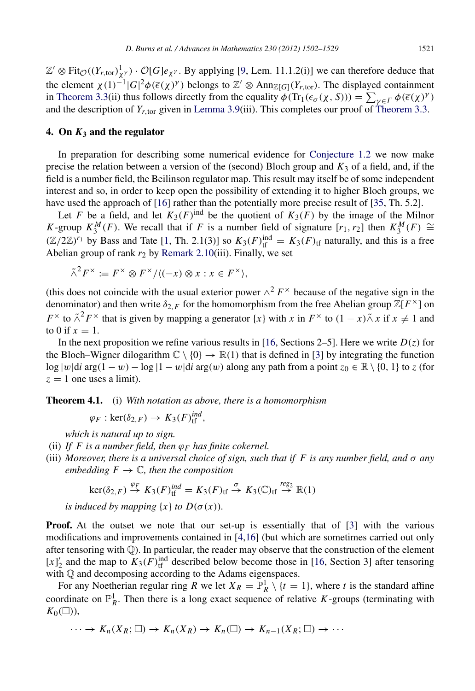$\mathbb{Z}' \otimes \text{Fit}_{\mathcal{O}}((Y_{r,\text{tor}})^{1}_{\chi^{\gamma}}) \cdot \mathcal{O}[G]e_{\chi^{\gamma}}$ . By applying [\[9,](#page-27-24) Lem. 11.1.2(i)] we can therefore deduce that the element  $\chi(1)^{-1}|G|^2\phi(\bar{\epsilon}(\chi)^{\gamma})$  belongs to  $\mathbb{Z}' \otimes \text{Ann}_{\mathbb{Z}[G]}(Y_{r,\text{tor}})$ . The displayed containment in [Theorem 3.3\(](#page-10-0)ii) thus follows directly from the equality  $\phi(\text{Tr}_1(\epsilon_{\sigma}(\chi, S))) = \sum_{\gamma \in \Gamma} \phi(\overline{\epsilon}(\chi)^{\gamma})$ and the description of  $Y_{r, \text{tor}}$  given in [Lemma 3.9\(](#page-13-0)iii). This completes our proof of [Theorem 3.3.](#page-10-0)

## 4. On *K*<sup>3</sup> and the regulator

In preparation for describing some numerical evidence for [Conjecture 1.2](#page-2-0) we now make precise the relation between a version of the (second) Bloch group and  $K_3$  of a field, and, if the field is a number field, the Beilinson regulator map. This result may itself be of some independent interest and so, in order to keep open the possibility of extending it to higher Bloch groups, we have used the approach of [\[16\]](#page-27-13) rather than the potentially more precise result of [\[35,](#page-27-25) Th. 5.2].

Let *F* be a field, and let  $K_3(F)$ <sup>ind</sup> be the quotient of  $K_3(F)$  by the image of the Milnor *K*-group  $K_3^M(F)$ . We recall that if *F* is a number field of signature  $[r_1, r_2]$  then  $K_3^M(F) \cong$  $(\mathbb{Z}/2\mathbb{Z})^{r_1}$  by Bass and Tate [\[1,](#page-26-0) Th. 2.1(3)] so  $K_3(F)_{\text{tf}}^{\text{ind}} = K_3(F)_{\text{tf}}$  naturally, and this is a free Abelian group of rank  $r_2$  by [Remark 2.10\(](#page-7-2)iii). Finally, we set

$$
\tilde{\wedge}^2 F^\times := F^\times \otimes F^\times / \langle (-x) \otimes x : x \in F^\times \rangle,
$$

(this does not coincide with the usual exterior power  $\wedge^2 F^\times$  because of the negative sign in the denominator) and then write  $\delta_{2,F}$  for the homomorphism from the free Abelian group  $\mathbb{Z}[F^{\times}]$  on *F*<sup>×</sup> to  $\tilde{\wedge}^2 F$ <sup>×</sup> that is given by mapping a generator  $\{x\}$  with *x* in  $F$ <sup>×</sup> to  $(1 - x)\tilde{\wedge} x$  if  $x \neq 1$  and to 0 if  $x = 1$ .

In the next proposition we refine various results in [\[16,](#page-27-13) Sections 2–5]. Here we write  $D(z)$  for the Bloch–Wigner dilogarithm  $\mathbb{C} \setminus \{0\} \to \mathbb{R}(1)$  that is defined in [\[3\]](#page-27-26) by integrating the function log |w|d*i* arg(1 − w) − log |1 − w|d*i* arg(w) along any path from a point  $z_0 \in \mathbb{R} \setminus \{0, 1\}$  to *z* (for  $z = 1$  one uses a limit).

Theorem 4.1. (i) *With notation as above, there is a homomorphism*

<span id="page-19-0"></span>
$$
\varphi_F : \ker(\delta_{2,F}) \to K_3(F)_{\text{tf}}^{ind},
$$

*which is natural up to sign.*

- (ii) *If F is a number field, then*  $\varphi_F$  *has finite cokernel.*
- (iii) *Moreover, there is a universal choice of sign, such that if F is any number field, and* σ *any embedding*  $F \to \mathbb{C}$ *, then the composition*

$$
\ker(\delta_{2,F}) \stackrel{\varphi_F}{\to} K_3(F)_{\text{tf}}^{ind} = K_3(F)_{\text{tf}} \stackrel{\sigma}{\to} K_3(\mathbb{C})_{\text{tf}} \stackrel{reg_2}{\to} \mathbb{R}(1)
$$

*is induced by mapping*  $\{x\}$  *to*  $D(\sigma(x))$ *.* 

**Proof.** At the outset we note that our set-up is essentially that of [\[3\]](#page-27-26) with the various modifications and improvements contained in [\[4](#page-27-27)[,16\]](#page-27-13) (but which are sometimes carried out only after tensoring with Q). In particular, the reader may observe that the construction of the element  $[x]_2'$  and the map to  $K_3(F)_{\text{tf}}^{\text{ind}}$  described below become those in [\[16,](#page-27-13) Section 3] after tensoring with Q and decomposing according to the Adams eigenspaces.

For any Noetherian regular ring *R* we let  $X_R = \mathbb{P}^1_R \setminus \{t = 1\}$ , where *t* is the standard affine coordinate on  $\mathbb{P}_R^1$ . Then there is a long exact sequence of relative *K*-groups (terminating with  $K_0(\Box)$ ),

$$
\cdots \to K_n(X_R; \square) \to K_n(X_R) \to K_n(\square) \to K_{n-1}(X_R; \square) \to \cdots
$$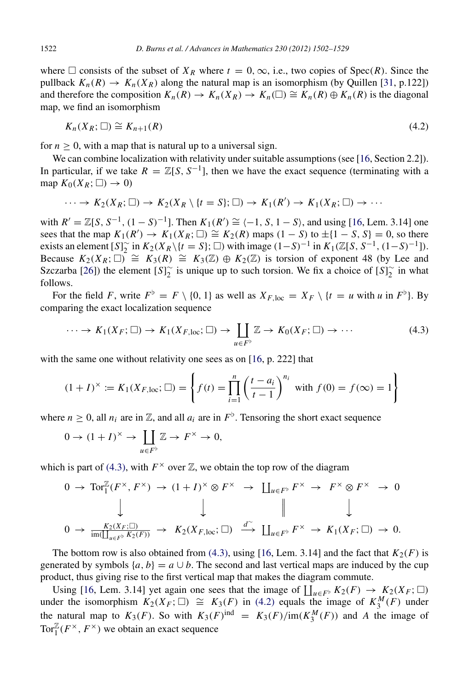where  $\Box$  consists of the subset of  $X_R$  where  $t = 0, \infty$ , i.e., two copies of  $Spec(R)$ . Since the pullback  $K_n(R) \to K_n(X_R)$  along the natural map is an isomorphism (by Quillen [\[31,](#page-27-28) p.122]) and therefore the composition  $K_n(R) \to K_n(X_R) \to K_n(\square) \cong K_n(R) \oplus K_n(R)$  is the diagonal map, we find an isomorphism

<span id="page-20-1"></span>
$$
K_n(X_R; \square) \cong K_{n+1}(R) \tag{4.2}
$$

for  $n \geq 0$ , with a map that is natural up to a universal sign.

We can combine localization with relativity under suitable assumptions (see [\[16,](#page-27-13) Section 2.2]). In particular, if we take  $R = \mathbb{Z}[S, S^{-1}]$ , then we have the exact sequence (terminating with a map  $K_0(X_R; \square) \rightarrow 0$ )

$$
\cdots \to K_2(X_R; \square) \to K_2(X_R \setminus \{t = S\}; \square) \to K_1(R') \to K_1(X_R; \square) \to \cdots
$$

with  $R' = \mathbb{Z}[S, S^{-1}, (1 - S)^{-1}]$ . Then  $K_1(R') \cong \{-1, S, 1 - S\}$ , and using [\[16,](#page-27-13) Lem. 3.14] one sees that the map  $K_1(R') \to K_1(X_R; \square) \cong K_2(R)$  maps  $(1 - S)$  to  $\pm \{1 - S, S\} = 0$ , so there exists an element  $[S]_2^{\sim}$  in  $K_2(X_R \setminus \{t = S\}; \square)$  with image  $(1-S)^{-1}$  in  $K_1(\mathbb{Z}[S, S^{-1}, (1-S)^{-1}])$ . Because  $K_2(X_R; \square) \cong K_3(R) \cong K_3(\mathbb{Z}) \oplus K_2(\mathbb{Z})$  is torsion of exponent 48 (by Lee and Szczarba [\[26\]](#page-27-29)) the element  $[S]_2^{\sim}$  is unique up to such torsion. We fix a choice of  $[S]_2^{\sim}$  in what follows.

For the field *F*, write  $F^{\flat} = F \setminus \{0, 1\}$  as well as  $X_{F, loc} = X_F \setminus \{t = u \text{ with } u \text{ in } F^{\flat}\}\)$ . By comparing the exact localization sequence

<span id="page-20-0"></span>
$$
\cdots \to K_1(X_F; \square) \to K_1(X_{F,\text{loc}}; \square) \to \coprod_{u \in F^{\flat}} \mathbb{Z} \to K_0(X_F; \square) \to \cdots \tag{4.3}
$$

with the same one without relativity one sees as on [\[16,](#page-27-13) p. 222] that

$$
(1+I)^{\times} := K_1(X_{F,\text{loc}}; \square) = \left\{ f(t) = \prod_{i=1}^{n} \left( \frac{t - a_i}{t - 1} \right)^{n_i} \text{ with } f(0) = f(\infty) = 1 \right\}
$$

where  $n \geq 0$ , all  $n_i$  are in  $\mathbb{Z}$ , and all  $a_i$  are in  $F^{\flat}$ . Tensoring the short exact sequence

$$
0 \to (1+I)^{\times} \to \coprod_{u \in F^{\flat}} \mathbb{Z} \to F^{\times} \to 0,
$$

which is part of [\(4.3\),](#page-20-0) with  $F^{\times}$  over  $\mathbb{Z}$ , we obtain the top row of the diagram

$$
0 \to \operatorname{Tor}_{1}^{\mathbb{Z}}(F^{\times}, F^{\times}) \to (1+I)^{\times} \otimes F^{\times} \to \coprod_{u \in F^{\flat}} F^{\times} \to F^{\times} \otimes F^{\times} \to 0
$$
  

$$
\downarrow \qquad \qquad \downarrow \qquad \qquad \downarrow \qquad \qquad \downarrow
$$
  

$$
0 \to \frac{K_{2}(X_{F}; \square)}{\operatorname{im}(\coprod_{u \in F^{\flat}} K_{2}(F))} \to K_{2}(X_{F, \text{loc}}; \square) \xrightarrow{d^{\sim}} \coprod_{u \in F^{\flat}} F^{\times} \to K_{1}(X_{F}; \square) \to 0.
$$

The bottom row is also obtained from  $(4.3)$ , using [\[16,](#page-27-13) Lem. 3.14] and the fact that  $K_2(F)$  is generated by symbols  $\{a, b\} = a \cup b$ . The second and last vertical maps are induced by the cup product, thus giving rise to the first vertical map that makes the diagram commute.

Using [\[16,](#page-27-13) Lem. 3.14] yet again one sees that the image of  $\prod_{u \in F^{\flat}} K_2(F) \to K_2(X_F; \square)$ under the isomorphism  $K_2(X_F; \square) \cong K_3(F)$  in [\(4.2\)](#page-20-1) equals the image of  $K_3^M(F)$  under the natural map to  $K_3(F)$ . So with  $K_3(F)$ <sup>ind</sup> =  $K_3(F)/im(K_3^M(F))$  and *A* the image of Tor $_{1}^{\mathbb{Z}}(F^{\times}, F^{\times})$  we obtain an exact sequence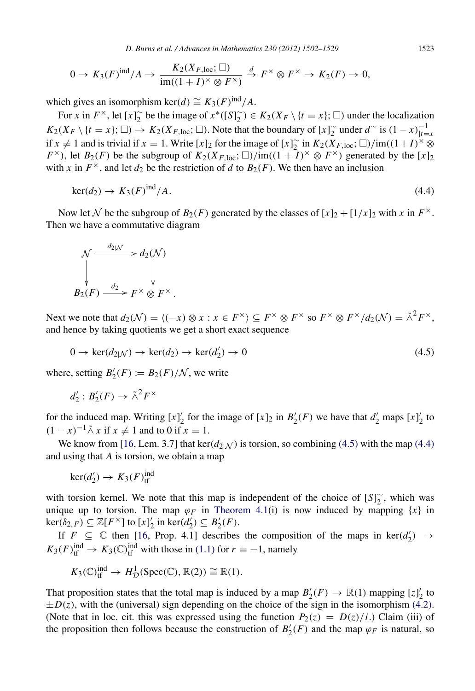*D. Burns et al. / Advances in Mathematics 230 (2012) 1502–1529* 1523

$$
0 \to K_3(F)^{\text{ind}}/A \to \frac{K_2(X_{F,\text{loc}};\square)}{\text{im}((1+I)^\times \otimes F^\times)} \xrightarrow{d} F^\times \otimes F^\times \to K_2(F) \to 0,
$$

which gives an isomorphism ker(*d*)  $\cong K_3(F)^{\text{ind}}/A$ .

For *x* in  $F^{\times}$ , let  $[x]_2^{\infty}$  be the image of  $x^*([S]_2^{\infty}) \in K_2(X_F \setminus \{t = x\}; \square)$  under the localization  $K_2(X_F \setminus \{t = x\}; \Box) \to K_2(X_{F,\text{loc}}; \Box)$ . Note that the boundary of  $[x]_2^{\sim}$  under  $d^{\sim}$  is  $(1-x)_{|t=x}^{-1}$ if *x* ≠ 1 and is trivial if *x* = 1. Write [*x*]<sub>2</sub> for the image of [*x*]<sub>2</sub> in  $K_2(X_{F,\text{loc}}; \Box)/\text{im}((1+I)^{\times} \otimes$ *F*<sup>×</sup>), let *B*<sub>2</sub>(*F*) be the subgroup of  $K_2(X_{F,\text{loc}}; \square)/\text{im}((1+\tilde{I})^{\times} \otimes F^{\times})$  generated by the [*x*]<sub>2</sub> with *x* in  $F^{\times}$ , and let  $d_2$  be the restriction of *d* to  $B_2(F)$ . We then have an inclusion

$$
\ker(d_2) \to K_3(F)^{\text{ind}}/A. \tag{4.4}
$$

Now let N be the subgroup of  $B_2(F)$  generated by the classes of  $[x]_2 + [1/x]_2$  with x in  $F^{\times}$ . Then we have a commutative diagram

$$
\begin{array}{ccc}\n\mathcal{N} & \xrightarrow{d_{2|N}} & d_2(\mathcal{N}) \\
\downarrow & & \downarrow \\
B_2(F) & \xrightarrow{d_2} & F^\times \otimes F^\times \,.\n\end{array}
$$

Next we note that  $d_2(\mathcal{N}) = \langle (-x) \otimes x : x \in F^\times \rangle \subseteq F^\times \otimes F^\times$  so  $F^\times \otimes F^\times / d_2(\mathcal{N}) = \tilde{\wedge}^2 F^\times$ , and hence by taking quotients we get a short exact sequence

$$
0 \to \ker(d_{2|\mathcal{N}}) \to \ker(d_2) \to \ker(d'_2) \to 0 \tag{4.5}
$$

where, setting  $B'_2(F) := B_2(F)/\mathcal{N}$ , we write

$$
d_2': B_2'(F) \to \tilde{\wedge}^2 F^\times
$$

for the induced map. Writing  $[x]_2^{\prime}$  for the image of  $[x]_2$  in  $B'_2(F)$  we have that  $d'_2$  maps  $[x]_2^{\prime}$  to  $(1 - x)^{-1} \tilde{\wedge} x$  if  $x \neq 1$  and to 0 if  $x = 1$ .

We know from [\[16,](#page-27-13) Lem. 3.7] that  $\text{ker}(d_{2|N})$  is torsion, so combining [\(4.5\)](#page-21-0) with the map [\(4.4\)](#page-21-1) and using that *A* is torsion, we obtain a map

 $\ker(d'_2) \to K_3(F)_{\text{tf}}^{\text{ind}}$ 

with torsion kernel. We note that this map is independent of the choice of  $[S]_2^{\sim}$ , which was unique up to torsion. The map  $\varphi_F$  in [Theorem 4.1\(](#page-19-0)i) is now induced by mapping  $\{x\}$  in  $\ker(\delta_{2,F}) \subseteq \mathbb{Z}[F^{\times}]$  to  $[x]_2'$  in  $\ker(d'_2) \subseteq B'_2(F)$ .

If  $F \subseteq \mathbb{C}$  then [\[16,](#page-27-13) Prop. 4.1] describes the composition of the maps in ker( $d_2'$ )  $\rightarrow$  $K_3(F)_{\text{tf}}^{\text{ind}} \to K_3(\mathbb{C})_{\text{tf}}^{\text{ind}}$  with those in [\(1.1\)](#page-2-3) for  $r = -1$ , namely

$$
K_3(\mathbb{C})^{\text{ind}}_{\text{tf}} \to H^1_{\mathcal{D}}(\text{Spec}(\mathbb{C}), \mathbb{R}(2)) \cong \mathbb{R}(1).
$$

That proposition states that the total map is induced by a map  $B'_2(F) \to \mathbb{R}(1)$  mapping  $[z]_2^{\prime}$  to  $\pm D(z)$ , with the (universal) sign depending on the choice of the sign in the isomorphism [\(4.2\).](#page-20-1) (Note that in loc. cit. this was expressed using the function  $P_2(z) = D(z)/i$ .) Claim (iii) of the proposition then follows because the construction of  $B'_{2}(F)$  and the map  $\varphi_F$  is natural, so

<span id="page-21-1"></span><span id="page-21-0"></span>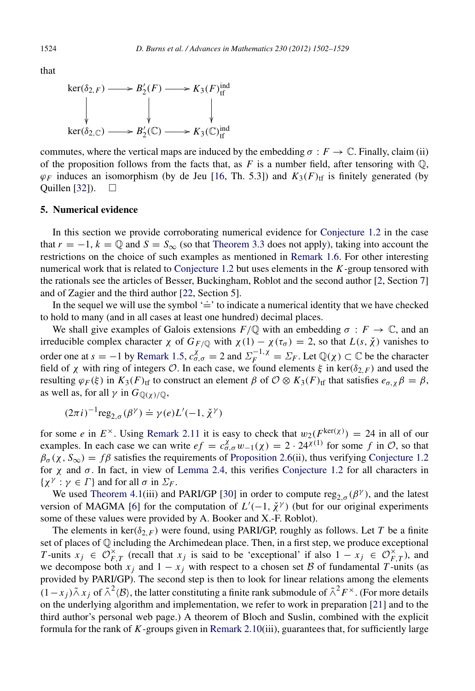that

$$
\ker(\delta_{2,F}) \longrightarrow B'_2(F) \longrightarrow K_3(F)^{\text{ind}}_{\text{tf}}
$$
\n
$$
\downarrow \qquad \qquad \downarrow \qquad \qquad \downarrow
$$
\n
$$
\ker(\delta_{2,\mathbb{C}}) \longrightarrow B'_2(\mathbb{C}) \longrightarrow K_3(\mathbb{C})^{\text{ind}}_{\text{tf}}
$$

commutes, where the vertical maps are induced by the embedding  $\sigma : F \to \mathbb{C}$ . Finally, claim (ii) of the proposition follows from the facts that, as  $F$  is a number field, after tensoring with  $\mathbb{Q}$ ,  $\varphi_F$  induces an isomorphism (by de Jeu [\[16,](#page-27-13) Th. 5.3]) and  $K_3(F)_{\text{tf}}$  is finitely generated (by Quillen [\[32\]](#page-27-30)).  $\square$ 

## <span id="page-22-0"></span>5. Numerical evidence

In this section we provide corroborating numerical evidence for [Conjecture 1.2](#page-2-0) in the case that  $r = -1$ ,  $k = \mathbb{Q}$  and  $S = S_{\infty}$  (so that [Theorem 3.3](#page-10-0) does not apply), taking into account the restrictions on the choice of such examples as mentioned in [Remark 1.6.](#page-3-2) For other interesting numerical work that is related to [Conjecture 1.2](#page-2-0) but uses elements in the *K*-group tensored with the rationals see the articles of Besser, Buckingham, Roblot and the second author [\[2,](#page-27-31) Section 7] and of Zagier and the third author [\[22,](#page-27-32) Section 5].

In the sequel we will use the symbol  $\div$  to indicate a numerical identity that we have checked to hold to many (and in all cases at least one hundred) decimal places.

We shall give examples of Galois extensions  $F/\mathbb{Q}$  with an embedding  $\sigma : F \to \mathbb{C}$ , and an irreducible complex character  $\chi$  of  $G_{F/\mathbb{Q}}$  with  $\chi(1) - \chi(\tau_{\sigma}) = 2$ , so that  $L(s, \chi)$  vanishes to order one at  $s = -1$  by [Remark 1.5,](#page-3-0)  $c_{\sigma,\sigma}^{\chi} = 2$  and  $\Sigma_F^{-1,\chi} = \Sigma_F$ . Let  $\mathbb{Q}(\chi) \subset \mathbb{C}$  be the character field of  $\chi$  with ring of integers O. In each case, we found elements  $\xi$  in ker( $\delta_{2,F}$ ) and used the resulting  $\varphi_F(\xi)$  in  $K_3(F)_{\text{tf}}$  to construct an element  $\beta$  of  $\mathcal{O}\otimes K_3(F)_{\text{tf}}$  that satisfies  $e_{\sigma,\chi}\beta = \beta$ , as well as, for all  $\gamma$  in  $G_{\mathbb{Q}(\gamma)/\mathbb{Q}}$ ,

$$
(2\pi i)^{-1} \text{reg}_{2,\sigma}(\beta^{\gamma}) \doteq \gamma(e)L'(-1, \check{\chi}^{\gamma})
$$

for some *e* in  $E^{\times}$ . Using [Remark 2.11](#page-8-2) it is easy to check that  $w_2(F^{\text{ker}(\chi)}) = 24$  in all of our examples. In each case we can write  $ef = c_{\sigma,\sigma}^{\chi} w_{-1}(\chi) = 2 \cdot 24^{\chi(1)}$  for some f in O, so that  $\beta_{\sigma}(\chi, S_{\infty}) = f\beta$  satisfies the requirements of [Proposition 2.6\(](#page-6-0)ii), thus verifying [Conjecture 1.2](#page-2-0) for  $\chi$  and  $\sigma$ . In fact, in view of [Lemma 2.4,](#page-6-1) this verifies [Conjecture 1.2](#page-2-0) for all characters in  $\{\chi^{\gamma} : \gamma \in \Gamma\}$  and for all  $\sigma$  in  $\Sigma_F$ .

We used [Theorem 4.1\(](#page-19-0)iii) and PARI/GP [\[30\]](#page-27-33) in order to compute  $reg_{2,\sigma}(\beta^{\gamma})$ , and the latest version of MAGMA [\[6\]](#page-27-34) for the computation of  $L'(-1, \chi^{\gamma})$  (but for our original experiments some of these values were provided by A. Booker and X.-F. Roblot).

The elements in ker( $\delta_{2,F}$ ) were found, using PARI/GP, roughly as follows. Let *T* be a finite set of places of Q including the Archimedean place. Then, in a first step, we produce exceptional *T* -units  $x_j \in \overline{\mathcal{O}}_F^\times$  $\sum_{F,T}^{\times}$  (recall that *x<sub>j</sub>* is said to be 'exceptional' if also  $1 - x_j \in \mathcal{O}_F^{\times}$  $_{F,T}^{\times}$ ), and we decompose both  $x_j$  and  $1 - x_j$  with respect to a chosen set B of fundamental T-units (as provided by PARI/GP). The second step is then to look for linear relations among the elements (1 – *x<sub>j</sub>*) $\tilde{\wedge} x_j$  of  $\tilde{\wedge}^2$   $\langle B \rangle$ , the latter constituting a finite rank submodule of  $\tilde{\wedge}^2 F^\times$ . (For more details on the underlying algorithm and implementation, we refer to work in preparation [\[21\]](#page-27-35) and to the third author's personal web page.) A theorem of Bloch and Suslin, combined with the explicit formula for the rank of *K*-groups given in [Remark 2.10\(](#page-7-2)iii), guarantees that, for sufficiently large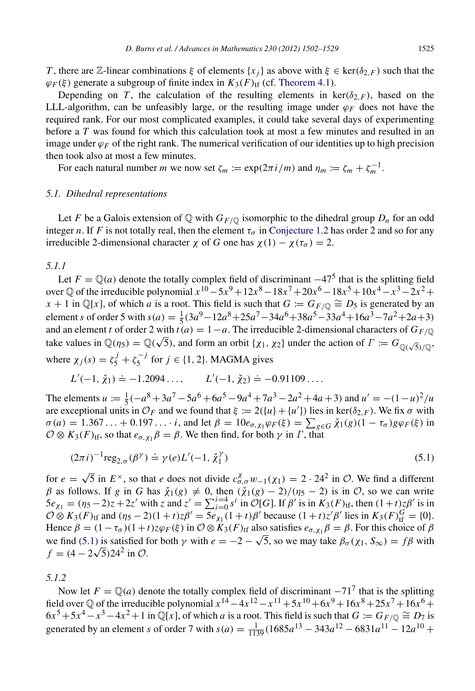*T*, there are Z-linear combinations  $\xi$  of elements  $\{x_i\}$  as above with  $\xi \in \text{ker}(\delta_{2,F})$  such that the  $\varphi_F(\xi)$  generate a subgroup of finite index in  $K_3(F)_{\text{tf}}$  (cf. [Theorem 4.1\)](#page-19-0).

Depending on *T*, the calculation of the resulting elements in ker( $\delta$ <sub>*F*</sub>), based on the LLL-algorithm, can be unfeasibly large, or the resulting image under  $\varphi_F$  does not have the required rank. For our most complicated examples, it could take several days of experimenting before a *T* was found for which this calculation took at most a few minutes and resulted in an image under  $\varphi_F$  of the right rank. The numerical verification of our identities up to high precision then took also at most a few minutes.

For each natural number *m* we now set  $\zeta_m := \exp(2\pi i/m)$  and  $\eta_m := \zeta_m + \zeta_m^{-1}$ .

#### *5.1. Dihedral representations*

Let *F* be a Galois extension of Q with  $G_{F/\mathbb{Q}}$  isomorphic to the dihedral group  $D_n$  for an odd integer *n*. If *F* is not totally real, then the element  $\tau_{\sigma}$  in [Conjecture 1.2](#page-2-0) has order 2 and so for any irreducible 2-dimensional character  $\chi$  of *G* one has  $\chi$  (1) –  $\chi$  (τ<sub>σ</sub>) = 2.

# <span id="page-23-1"></span>*5.1.1*

Let  $F = \mathbb{Q}(a)$  denote the totally complex field of discriminant  $-47^5$  that is the splitting field over  $\mathbb Q$  of the irreducible polynomial  $x^{10} - 5x^9 + 12x^8 - 18x^7 + 20x^6 - 18x^5 + 10x^4 - x^3 - 2x^2 +$  $x + 1$  in Q[*x*], of which *a* is a root. This field is such that  $G := G_F \bigcirc \mathcal{O}_F$  is generated by an element *s* of order 5 with  $s(a) = \frac{1}{5}(3a^9 - 12a^8 + 25a^7 - 34a^6 + 38a^5 - 33a^4 + 16a^3 - 7a^2 + 2a + 3)$ and an element *t* of order 2 with  $t(a) = 1 - a$ . The irreducible 2-dimensional characters of  $G_{F/\mathbb{Q}}$ take values in  $\mathbb{Q}(\eta_5) = \mathbb{Q}(\sqrt{5})$ , and form an orbit  $\{\chi_1, \chi_2\}$  under the action of  $\Gamma := G_{\mathbb{Q}(\sqrt{5})/\mathbb{Q}}$ , where  $\chi_j(s) = \zeta_5^j + \zeta_5^{-j}$  $\sigma_5^{-j}$  for  $j \in \{1, 2\}$ . MAGMA gives

$$
L'(-1, \check{\chi}_1) \doteq -1.2094...
$$
,  $L'(-1, \check{\chi}_2) \doteq -0.91109...$ 

The elements  $u := \frac{1}{5}(-a^8 + 3a^7 - 5a^6 + 6a^5 - 9a^4 + 7a^3 - 2a^2 + 4a + 3)$  and  $u' = -(1 - u)^2/u$ are exceptional units in  $\mathcal{O}_F$  and we found that  $\xi := 2({u} + {u'})$  lies in ker( $\delta_{2,F}$ ). We fix  $\sigma$  with  $\sigma(a) = 1.367... + 0.197...$  *i*, and let  $\beta = 10e_{\sigma, \chi_1} \varphi_F(\xi) = \sum_{g \in G} \check{\chi}_1(g)(1 - \tau_\sigma) g \varphi_F(\xi)$  in  $\mathcal{O} \otimes K_3(F)_{\text{tf}}$ , so that  $e_{\sigma, \chi_1} \beta = \beta$ . We then find, for both  $\gamma$  in  $\Gamma$ , that

<span id="page-23-0"></span>
$$
(2\pi i)^{-1} \text{reg}_{2,\sigma}(\beta^{\gamma}) \doteq \gamma(e)L'(-1, \check{\chi}_1^{\gamma})
$$
\n(5.1)

for  $e =$ √  $\overline{5}$  in  $E^{\times}$ , so that *e* does not divide  $c_{\sigma,\sigma}^{\chi} w_{-1}(\chi_1) = 2 \cdot 24^2$  in  $\mathcal{O}$ . We find a different β as follows. If g in G has  $\check{\chi}_1(g) \neq 0$ , then  $(\check{\chi}_1(g) - 2)/(\eta_5 - 2)$  is in O, so we can write  $5e_{\chi_1} = (\eta_5 - 2)z + 2z'$  with *z* and  $z' = \sum_{i=0}^{i=4} s^i$  in  $\mathcal{O}[G]$ . If  $\beta'$  is in  $K_3(F)_{\text{tf}}$ , then  $(1+t)z\beta'$  is in  $\mathcal{O} \otimes K_3(F)_{\text{tf}}$  and  $(\eta_5 - 2)(1 + t)z\beta' = \overline{5e_{\chi_1}(1 + t)}\beta'$  because  $(1 + t)z'\beta'$  lies in  $K_3(F)_{\text{tf}}^G = \{0\}.$ Hence  $\beta = (1 - \tau_{\sigma})(1 + t)z\varphi_F(\xi)$  in  $\mathcal{O} \otimes K_3(F)_{\text{tf}}$  also satisfies  $e_{\sigma, \chi_1} \beta = \beta$ . For this choice of  $\beta$ we find [\(5.1\)](#page-23-0) is satisfied for both  $\gamma$  with  $e = -2 - \sqrt{5}$ , so we may take  $\beta_{\sigma}(\chi_1, S_{\infty}) = f\beta$  with  $f = (4 - 2\sqrt{5})24^2$  in  $\mathcal{O}$ .

*5.1.2*

Now let  $F = \mathbb{Q}(a)$  denote the totally complex field of discriminant  $-71^7$  that is the splitting field over  $\mathbb Q$  of the irreducible polynomial  $x^{14} - 4x^{12} - x^{11} + 5x^{10} + 6x^9 + 16x^8 + 25x^7 + 16x^6 +$  $6x^5 + 5x^4 - x^3 - 4x^2 + 1$  in Q[*x*], of which *a* is a root. This field is such that  $G := G_{F/\mathbb{Q}} \cong D_7$  is generated by an element *s* of order 7 with  $s(a) = \frac{1}{1139} (1685a^{13} - 343a^{12} - 6831a^{11} - 12a^{10} +$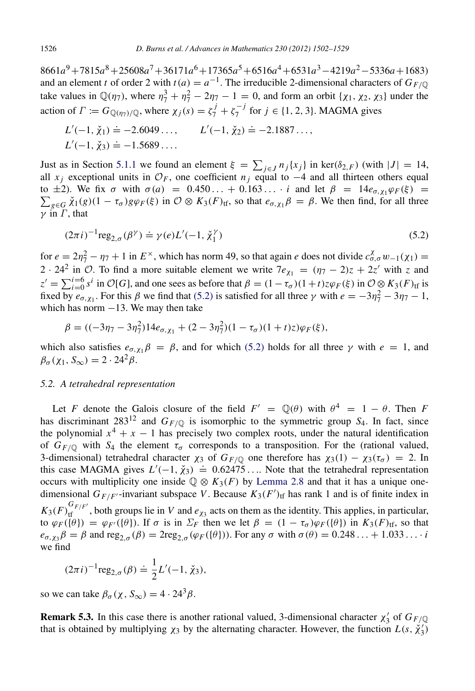8661*a* <sup>9</sup>+7815*a* <sup>8</sup>+25608*a* <sup>7</sup>+36171*a* <sup>6</sup>+17365*a* <sup>5</sup>+6516*a* <sup>4</sup>+6531*a* <sup>3</sup>−4219*a* <sup>2</sup>−5336*a*+1683) and an element *t* of order 2 with  $t(a) = a^{-1}$ . The irreducible 2-dimensional characters of  $G_{F/\mathbb{Q}}$ take values in  $\mathbb{Q}(\eta_7)$ , where  $\eta_7^3 + \eta_7^2 - 2\eta_7 - 1 = 0$ , and form an orbit  $\{\chi_1, \chi_2, \chi_3\}$  under the action of  $\Gamma := G_{\mathbb{Q}(\eta_7)/\mathbb{Q}}$ , where  $\chi_j(s) = \zeta_7^j + \zeta_7^{-j}$  $j_7^{-1}$  for  $j \in \{1, 2, 3\}$ . MAGMA gives

$$
L'(-1, \check{\chi}_1) \doteq -2.6049..., \qquad L'(-1, \check{\chi}_2) \doteq -2.1887...,
$$
  

$$
L'(-1, \check{\chi}_3) \doteq -1.5689...
$$

Just as in Section [5.1.1](#page-23-1) we found an element  $\xi = \sum_{j \in J} n_j \{x_j\}$  in ker( $\delta_{2,F}$ ) (with  $|J| = 14$ , all *x<sub>i</sub>* exceptional units in  $\mathcal{O}_F$ , one coefficient *n<sub>i</sub>* equal to −4 and all thirteen others equal  $\sum_{g \in G} \check{\chi}_1(g)(1 - \tau_\sigma) g \varphi_F(\xi)$  in  $\mathcal{O} \otimes K_3(F)_{\text{tf}}$ , so that  $e_{\sigma, \chi_1} \beta = \beta$ . We then find, for all three to  $\pm 2$ ). We fix  $\sigma$  with  $\sigma(a) = 0.450... + 0.163...$  *i* and let  $\beta = 14e_{\sigma, \chi_1} \varphi_F(\xi)$  $\nu$  in  $\Gamma$ , that

<span id="page-24-0"></span>
$$
(2\pi i)^{-1} \text{reg}_{2,\sigma}(\beta^{\gamma}) \doteq \gamma(e)L'(-1, \check{\chi}_1^{\gamma})
$$
\n(5.2)

for  $e = 2\eta_7^2 - \eta_7 + 1$  in  $E^\times$ , which has norm 49, so that again *e* does not divide  $c_{\sigma,\sigma}^{\chi} w_{-1}(\chi_1) =$ 2 · 24<sup>2</sup> in  $\hat{O}$ . To find a more suitable element we write  $7e_{\chi_1} = (\eta_7 - 2)z + 2z'$  with z and  $z' = \sum_{i=0}^{i=6} s^i$  in  $\mathcal{O}[G]$ , and one sees as before that  $\beta = (1 - \tau_\sigma)(1 + t)z\varphi_F(\xi)$  in  $\mathcal{O}\otimes K_3(F)_{\text{tf}}$  is fixed by  $e_{\sigma, \chi_1}$ . For this  $\beta$  we find that [\(5.2\)](#page-24-0) is satisfied for all three  $\gamma$  with  $e = -3\eta_7^2 - 3\eta_7 - 1$ , which has norm  $-13$ . We may then take

$$
\beta = ((-3\eta_7 - 3\eta_7^2)14e_{\sigma, \chi_1} + (2 - 3\eta_7^2)(1 - \tau_\sigma)(1 + t)z)\varphi_F(\xi),
$$

which also satisfies  $e_{\sigma, \chi_1} \beta = \beta$ , and for which [\(5.2\)](#page-24-0) holds for all three  $\gamma$  with  $e = 1$ , and  $\beta_{\sigma}(\chi_1, S_{\infty}) = 2 \cdot 24^2 \beta$ .

#### *5.2. A tetrahedral representation*

Let *F* denote the Galois closure of the field  $F' = \mathbb{Q}(\theta)$  with  $\theta^4 = 1 - \theta$ . Then *F* has discriminant  $283^{12}$  and  $G_{F/\mathbb{Q}}$  is isomorphic to the symmetric group *S*<sub>4</sub>. In fact, since the polynomial  $x^4 + x - 1$  has precisely two complex roots, under the natural identification of  $G_{F/\mathbb{Q}}$  with  $S_4$  the element  $\tau_{\sigma}$  corresponds to a transposition. For the (rational valued, 3-dimensional) tetrahedral character  $\chi_3$  of  $G_F$ / $\circ$  one therefore has  $\chi_3(1) - \chi_3(\tau_\sigma) = 2$ . In this case MAGMA gives  $L'(-1, \chi_3) = 0.62475...$  Note that the tetrahedral representation occurs with multiplicity one inside  $\mathbb{Q} \otimes K_3(F)$  by [Lemma 2.8](#page-7-1) and that it has a unique onedimensional  $G_{F/F'}$ -invariant subspace *V*. Because  $K_3(F')$ <sub>tf</sub> has rank 1 and is of finite index in  $K_3(F)_{\text{tf}}^{G_{F/F'}}$ , both groups lie in *V* and  $e_{\chi_3}$  acts on them as the identity. This applies, in particular, to  $\varphi_F(\{\theta\}) = \varphi_{F'}(\{\theta\})$ . If  $\sigma$  is in  $\Sigma_F$  then we let  $\beta = (1 - \tau_\sigma) \varphi_F(\{\theta\})$  in  $K_3(F)_{\text{tf}}$ , so that  $e_{\sigma,\chi_3}\beta = \beta$  and reg<sub>2.σ</sub> ( $\beta$ ) = 2reg<sub>2.σ</sub> ( $\varphi_F(\{\theta\})$ ). For any  $\sigma$  with  $\sigma(\theta) = 0.248... + 1.033...i$ we find

$$
(2\pi i)^{-1}
$$
reg<sub>2,\sigma</sub>( $\beta$ )  $\doteq \frac{1}{2}L'(-1, \check{\chi}_3)$ ,

so we can take  $\beta_{\sigma}(\chi, S_{\infty}) = 4 \cdot 24^3 \beta$ .

**Remark 5.3.** In this case there is another rational valued, 3-dimensional character  $\chi'_3$  of  $G_{F/\mathbb{Q}}$ that is obtained by multiplying  $\chi_3$  by the alternating character. However, the function  $L(s, \chi'_3)$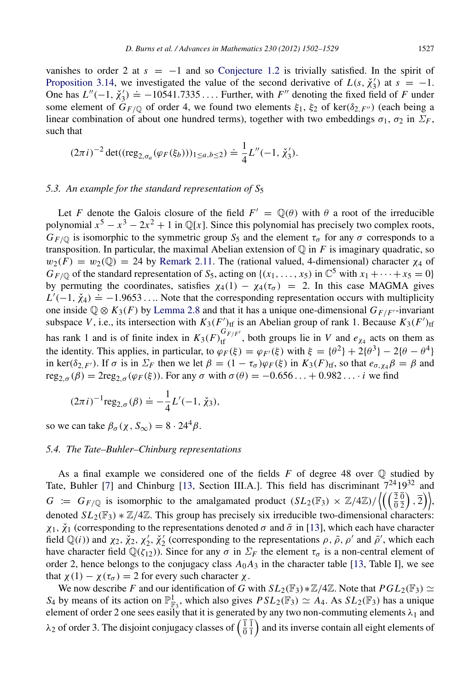vanishes to order 2 at  $s = -1$  and so [Conjecture 1.2](#page-2-0) is trivially satisfied. In the spirit of [Proposition 3.14,](#page-16-0) we investigated the value of the second derivative of  $L(s, \chi'_3)$  at  $s = -1$ . One has  $L''(-1, \check{\chi}_3') = -10541.7335...$  Further, with *F''* denoting the fixed field of *F* under some element of  $G_{F/\mathbb{Q}}$  of order 4, we found two elements  $\xi_1$ ,  $\xi_2$  of ker( $\delta_{2,F''}$ ) (each being a linear combination of about one hundred terms), together with two embeddings  $\sigma_1$ ,  $\sigma_2$  in  $\Sigma_F$ , such that

$$
(2\pi i)^{-2} \det((\text{reg}_{2,\sigma_a}(\varphi_F(\xi_b)))_{1\leq a,b\leq 2}) \doteq \frac{1}{4}L''(-1,\check{\chi}_3').
$$

#### *5.3. An example for the standard representation of S*<sup>5</sup>

Let *F* denote the Galois closure of the field  $F' = \mathbb{Q}(\theta)$  with  $\theta$  a root of the irreducible polynomial  $x^5 - x^3 - 2x^2 + 1$  in  $\mathbb{Q}[x]$ . Since this polynomial has precisely two complex roots,  $G_{F/\mathbb{Q}}$  is isomorphic to the symmetric group  $S_5$  and the element  $\tau_{\sigma}$  for any  $\sigma$  corresponds to a transposition. In particular, the maximal Abelian extension of  $\mathbb Q$  in *F* is imaginary quadratic, so  $w_2(F) = w_2(\mathbb{Q}) = 24$  by [Remark 2.11.](#page-8-2) The (rational valued, 4-dimensional) character  $\chi_4$  of  $G_{F/\mathbb{Q}}$  of the standard representation of  $S_5$ , acting on {( $x_1, \ldots, x_5$ ) in  $\mathbb{C}^5$  with  $x_1 + \cdots + x_5 = 0$ } by permuting the coordinates, satisfies  $\chi_4(1) - \chi_4(\tau_\sigma) = 2$ . In this case MAGMA gives  $L'(-1, \chi_4) \doteq -1.9653...$  Note that the corresponding representation occurs with multiplicity one inside  $\mathbb{Q} \otimes K_3(F)$  by [Lemma 2.8](#page-7-1) and that it has a unique one-dimensional  $G_{F/F'}$ -invariant subspace *V*, i.e., its intersection with  $K_3(F')_{\text{tf}}$  is an Abelian group of rank 1. Because  $K_3(F')_{\text{tf}}$ has rank 1 and is of finite index in  $K_3(F)_{\text{tf}}^{G_{F/F'}}$ , both groups lie in *V* and  $e_{\chi_4}$  acts on them as the identity. This applies, in particular, to  $\varphi_F(\xi) = \varphi_{F'}(\xi)$  with  $\xi = {\theta^2} + 2{\theta^3} - 2{\theta - \theta^4}$ in ker( $\delta_{2,F'}$ ). If  $\sigma$  is in  $\Sigma_F$  then we let  $\beta = (1 - \tau_{\sigma})\varphi_F(\xi)$  in  $K_3(F)_{\text{tf}}$ , so that  $e_{\sigma,\chi_4}\beta = \beta$  and  $\text{reg}_{2,\sigma}(\beta) = 2\text{reg}_{2,\sigma}(\varphi_F(\xi))$ . For any  $\sigma$  with  $\sigma(\theta) = -0.656...+0.982...$  *i* we find

$$
(2\pi i)^{-1} \text{reg}_{2,\sigma}(\beta) \doteq -\frac{1}{4} L'(-1, \check{\chi}_3),
$$

so we can take  $\beta_{\sigma}(\chi, S_{\infty}) = 8 \cdot 24^{4} \beta$ .

#### *5.4. The Tate–Buhler–Chinburg representations*

As a final example we considered one of the fields *F* of degree 48 over Q studied by Tate, Buhler [\[7\]](#page-27-6) and Chinburg [\[13,](#page-27-7) Section III.A.]. This field has discriminant 72419<sup>32</sup> and  $G := G_{F/\mathbb{Q}}$  is isomorphic to the amalgamated product  $(SL_2(\mathbb{F}_3) \times \mathbb{Z}/4\mathbb{Z}) / \left\langle \left( \left( \frac{\overline{2}}{0} \right)^2 \right) \right\rangle$  $\boldsymbol{0}$  $\left(\frac{\overline{0}}{2}\right), \overline{2}\right)\},$ denoted  $SL_2(\mathbb{F}_3) * \mathbb{Z}/4\mathbb{Z}$ . This group has precisely six irreducible two-dimensional characters:  $\chi_1$ ,  $\check{\chi}_1$  (corresponding to the representations denoted  $\sigma$  and  $\bar{\sigma}$  in [\[13\]](#page-27-7), which each have character field  $\mathbb{Q}(i)$ ) and  $\chi_2$ ,  $\chi'_2$ ,  $\chi'_2$ ,  $\chi'_2$  (corresponding to the representations  $\rho$ ,  $\bar{\rho}$ ,  $\rho'$  and  $\bar{\rho}'$ , which each have character field  $\mathbb{Q}(\zeta_{12})$ ). Since for any  $\sigma$  in  $\Sigma_F$  the element  $\tau_{\sigma}$  is a non-central element of order 2, hence belongs to the conjugacy class  $A_0A_3$  in the character table [\[13,](#page-27-7) Table I], we see that  $\chi(1) - \chi(\tau_\sigma) = 2$  for every such character  $\chi$ .

We now describe *F* and our identification of *G* with  $SL_2(\mathbb{F}_3) * \mathbb{Z}/4\mathbb{Z}$ . Note that  $PGL_2(\mathbb{F}_3) \simeq$  $S_4$  by means of its action on  $\mathbb{P}^1_{\mathbb{F}_3}$ , which also gives  $PSL_2(\mathbb{F}_3) \simeq A_4$ . As  $SL_2(\mathbb{F}_3)$  has a unique element of order 2 one sees easily that it is generated by any two non-commuting elements  $\lambda_1$  and  $\lambda_2$  of order 3. The disjoint conjugacy classes of  $\left(\frac{1}{0}\right)$  $\boldsymbol{0}$ 1  $\frac{1}{1}$  and its inverse contain all eight elements of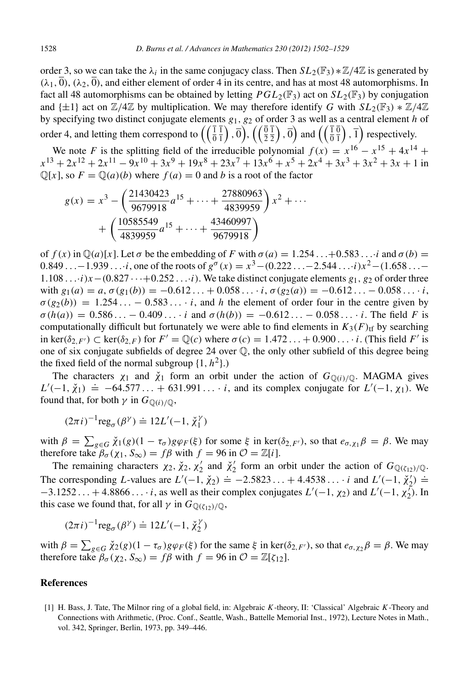order 3, so we can take the  $\lambda_i$  in the same conjugacy class. Then  $SL_2(\mathbb{F}_3) * \mathbb{Z}/4\mathbb{Z}$  is generated by  $(\lambda_1, \overline{0}), (\lambda_2, \overline{0}),$  and either element of order 4 in its centre, and has at most 48 automorphisms. In fact all 48 automorphisms can be obtained by letting  $PGL_2(\mathbb{F}_3)$  act on  $SL_2(\mathbb{F}_3)$  by conjugation and  $\{\pm 1\}$  act on  $\mathbb{Z}/4\mathbb{Z}$  by multiplication. We may therefore identify *G* with  $SL_2(\mathbb{F}_3) * \mathbb{Z}/4\mathbb{Z}$ by specifying two distinct conjugate elements *g*1, *g*<sup>2</sup> of order 3 as well as a central element *h* of order 4, and letting them correspond to  $\left(\begin{array}{c} \bar{1} \\ \bar{0} \end{array}\right)$ 1  $\left(\begin{matrix} \overline{1}\ \overline{1} \end{matrix}\right)$  ,  $\overline{0}\Big)$ ,  $\left(\left(\begin{matrix} \overline{0}\ \overline{2} \end{matrix}\right)$ 1  $\left(\frac{\overline{1}}{2}\right)$  ,  $\overline{0}\right)$  and  $\left(\left(\frac{\overline{1}}{0}\right)$  $\overline{0}$  $\left(\frac{\overline{0}}{1}\right)$ ,  $\overline{1}$ ) respectively.

We note *F* is the splitting field of the irreducible polynomial  $f(x) = x^{16} - x^{15} + 4x^{14} +$  $x^{13} + 2x^{12} + 2x^{11} - 9x^{10} + 3x^9 + 19x^8 + 23x^7 + 13x^6 + x^5 + 2x^4 + 3x^3 + 3x^2 + 3x + 1$  in  $\mathbb{Q}[x]$ , so  $F = \mathbb{Q}(a)(b)$  where  $f(a) = 0$  and *b* is a root of the factor

$$
g(x) = x3 - \left(\frac{21430423}{9679918}a^{15} + \dots + \frac{27880963}{4839959}\right)x^{2} + \dots + \left(\frac{10585549}{4839959}a^{15} + \dots + \frac{43460997}{9679918}\right)
$$

of  $f(x)$  in  $\mathbb{Q}(a)[x]$ . Let  $\sigma$  be the embedding of F with  $\sigma(a) = 1.254...+0.583...$ *i* and  $\sigma(b) =$ 0.849 . . . – 1.939 . . . *i*, one of the roots of  $g^{\sigma}(x) = x^3 - (0.222... - 2.544...i)x^2 - (1.658... 1.108 \ldots i$ *x*−(0.827  $\cdots$  +0.252  $\ldots$ *i*). We take distinct conjugate elements  $g_1$ ,  $g_2$  of order three with  $g_1(a) = a, \sigma(g_1(b)) = -0.612... + 0.058...$  *i*,  $\sigma(g_2(a)) = -0.612... - 0.058...$  *i*,  $\sigma(g_2(b)) = 1.254... - 0.583...$  *i*, and *h* the element of order four in the centre given by  $\sigma(h(a)) = 0.586... - 0.409...$  *i* and  $\sigma(h(b)) = -0.612... - 0.058...$  *i*. The field *F* is computationally difficult but fortunately we were able to find elements in  $K_3(F)_{\text{tf}}$  by searching in ker( $\delta_{2,F'}$ )  $\subset$  ker( $\delta_{2,F}$ ) for  $F' = \mathbb{Q}(c)$  where  $\sigma(c) = 1.472...+0.900...$  *i*. (This field *F'* is one of six conjugate subfields of degree 24 over  $\mathbb{Q}$ , the only other subfield of this degree being the fixed field of the normal subgroup  $\{1, h^2\}$ .)

The characters  $\chi_1$  and  $\check{\chi}_1$  form an orbit under the action of  $G_{\mathbb{O}(i)/\mathbb{O}}$ . MAGMA gives  $L'(-1, \chi_1) = -64.577... + 631.991...$  *i*, and its complex conjugate for  $L'(-1, \chi_1)$ . We found that, for both  $\gamma$  in  $G_{\mathbb{Q}(i)/\mathbb{Q}}$ ,

$$
(2\pi i)^{-1} \text{reg}_{\sigma}(\beta^{\gamma}) \doteq 12L'(-1, \check{\chi}_1^{\gamma})
$$

with  $\beta = \sum_{g \in G} \check{\chi}_1(g) (1 - \tau_\sigma) g \varphi_F(\xi)$  for some  $\xi$  in ker( $\delta_{2,F'}$ ), so that  $e_{\sigma, \chi_1} \beta = \beta$ . We may therefore take  $\beta_{\sigma}(\chi_1, S_{\infty}) = f\beta$  with  $f = 96$  in  $\mathcal{O} = \mathbb{Z}[i]$ .

The remaining characters  $\chi_2$ ,  $\check{\chi}_2$ ,  $\chi'_2$  and  $\check{\chi}'_2$  form an orbit under the action of  $G_{\mathbb{Q}(\zeta_{12})/\mathbb{Q}}$ . The corresponding *L*-values are  $L'(-1, \check{\chi}_2) = -2.5823... + 4.4538... \; \textit{i}$  and  $L'(-1, \check{\chi}_2') =$  $-3.1252... + 4.8866...$  *i*, as well as their complex conjugates  $L'(-1, \chi_2)$  and  $L'(-1, \chi_2')$ . In this case we found that, for all  $\gamma$  in  $G_{\mathbb{Q}(\zeta_{12})/\mathbb{Q}}$ ,

$$
(2\pi i)^{-1} \text{reg}_{\sigma}(\beta^{\gamma}) \doteq 12L'(-1, \check{\chi}_2^{\gamma})
$$

with  $\beta = \sum_{g \in G} \check{\chi}_2(g) (1 - \tau_\sigma) g \varphi_F(\xi)$  for the same  $\xi$  in ker( $\delta_{2,F'}$ ), so that  $e_{\sigma,\chi_2} \beta = \beta$ . We may therefore take  $\beta_{\sigma}(\chi_2, S_{\infty}) = f\beta$  with  $f = 96$  in  $\mathcal{O} = \mathbb{Z}[\zeta_{12}]$ .

#### References

<span id="page-26-0"></span>[1] H. Bass, J. Tate, The Milnor ring of a global field, in: Algebraic *K*-theory, II: 'Classical' Algebraic *K*-Theory and Connections with Arithmetic, (Proc. Conf., Seattle, Wash., Battelle Memorial Inst., 1972), Lecture Notes in Math., vol. 342, Springer, Berlin, 1973, pp. 349–446.